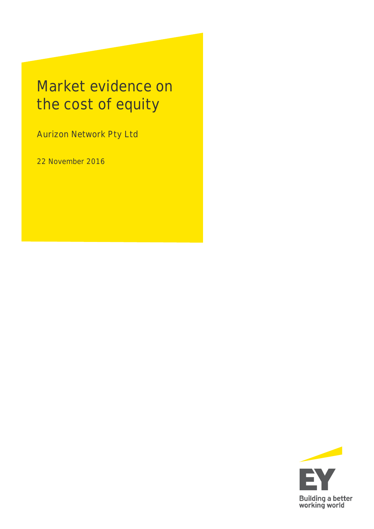# Market evidence on the cost of equity

Aurizon Network Pty Ltd

22 November 2016

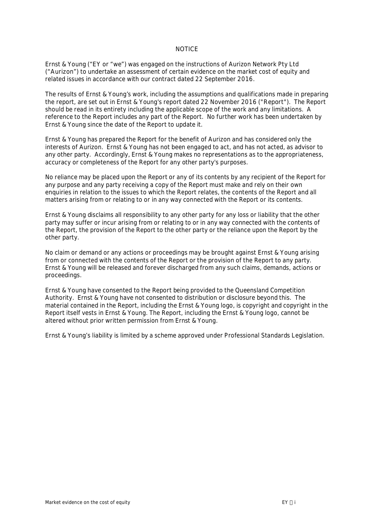#### **NOTICE**

Ernst & Young ("**EY** or "**we**") was engaged on the instructions of Aurizon Network Pty Ltd **("Aurizon")** to undertake an assessment of certain evidence on the market cost of equity and related issues in accordance with our contract dated 22 September 2016.

The results of Ernst & Young's work, including the assumptions and qualifications made in preparing the report, are set out in Ernst & Young's report dated 22 November 2016 ("**Report**"). The Report should be read in its entirety including the applicable scope of the work and any limitations. A reference to the Report includes any part of the Report. No further work has been undertaken by Ernst & Young since the date of the Report to update it.

Ernst & Young has prepared the Report for the benefit of Aurizon and has considered only the interests of Aurizon. Ernst & Young has not been engaged to act, and has not acted, as advisor to any other party. Accordingly, Ernst & Young makes no representations as to the appropriateness, accuracy or completeness of the Report for any other party's purposes.

No reliance may be placed upon the Report or any of its contents by any recipient of the Report for any purpose and any party receiving a copy of the Report must make and rely on their own enquiries in relation to the issues to which the Report relates, the contents of the Report and all matters arising from or relating to or in any way connected with the Report or its contents.

Ernst & Young disclaims all responsibility to any other party for any loss or liability that the other party may suffer or incur arising from or relating to or in any way connected with the contents of the Report, the provision of the Report to the other party or the reliance upon the Report by the other party.

No claim or demand or any actions or proceedings may be brought against Ernst & Young arising from or connected with the contents of the Report or the provision of the Report to any party. Ernst & Young will be released and forever discharged from any such claims, demands, actions or proceedings.

Ernst & Young have consented to the Report being provided to the Queensland Competition Authority. Ernst & Young have not consented to distribution or disclosure beyond this. The material contained in the Report, including the Ernst & Young logo, is copyright and copyright in the Report itself vests in Ernst & Young. The Report, including the Ernst & Young logo, cannot be altered without prior written permission from Ernst & Young.

Ernst & Young's liability is limited by a scheme approved under Professional Standards Legislation.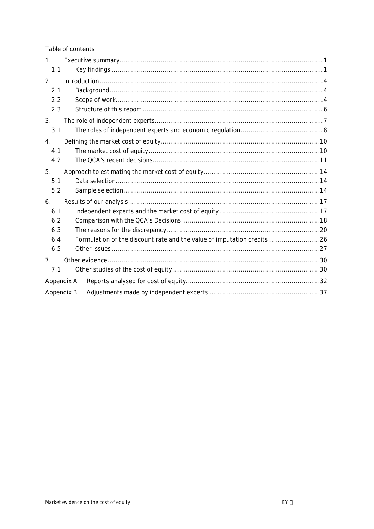Table of contents

| 1 <sub>1</sub><br>1.1   |                                                                        |  |
|-------------------------|------------------------------------------------------------------------|--|
| $\overline{2}$ .<br>2.1 |                                                                        |  |
| 2.2<br>2.3              |                                                                        |  |
| 3.<br>3.1               |                                                                        |  |
| 4.<br>4.1<br>4.2        |                                                                        |  |
| 5.<br>5.1<br>5.2        |                                                                        |  |
| 6.<br>6.1<br>6.2<br>6.3 |                                                                        |  |
| 6.4<br>6.5              | Formulation of the discount rate and the value of imputation credits26 |  |
| 7.<br>7.1               |                                                                        |  |
| Appendix A              |                                                                        |  |
| Appendix B              |                                                                        |  |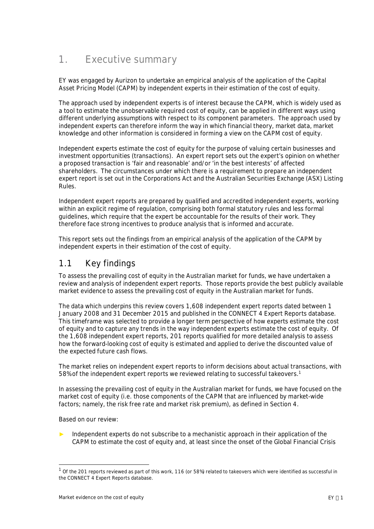# <span id="page-3-2"></span><span id="page-3-0"></span>**1. Executive summary**

EY was engaged by Aurizon to undertake an empirical analysis of the application of the Capital Asset Pricing Model (CAPM) by independent experts in their estimation of the cost of equity.

The approach used by independent experts is of interest because the CAPM, which is widely used as a tool to estimate the unobservable required cost of equity, can be applied in different ways using different underlying assumptions with respect to its component parameters. The approach used by independent experts can therefore inform the way in which financial theory, market data, market knowledge and other information is considered in forming a view on the CAPM cost of equity.

Independent experts estimate the cost of equity for the purpose of valuing certain businesses and investment opportunities (transactions). An expert report sets out the expert's opinion on whether a proposed transaction is 'fair and reasonable' and/or 'in the best interests' of affected shareholders. The circumstances under which there is a requirement to prepare an independent expert report is set out in the Corporations Act and the Australian Securities Exchange (ASX) Listing Rules.

Independent expert reports are prepared by qualified and accredited independent experts, working within an explicit regime of regulation, comprising both formal statutory rules and less formal guidelines, which require that the expert be accountable for the results of their work. They therefore face strong incentives to produce analysis that is informed and accurate.

This report sets out the findings from an empirical analysis of the application of the CAPM by independent experts in their estimation of the cost of equity.

### <span id="page-3-1"></span>**1.1 Key findings**

To assess the prevailing cost of equity in the Australian market for funds, we have undertaken a review and analysis of independent expert reports. Those reports provide the best publicly available market evidence to assess the prevailing cost of equity in the Australian market for funds.

The data which underpins this review covers 1,608 independent expert reports dated between 1 January 2008 and 31 December 2015 and published in the CONNECT 4 Expert Reports database. This timeframe was selected to provide a longer term perspective of how experts estimate the cost of equity and to capture any trends in the way independent experts estimate the cost of equity. Of the 1,608 independent expert reports, 201 reports qualified for more detailed analysis to assess how the forward-looking cost of equity is estimated and applied to derive the discounted value of the expected future cash flows.

The market relies on independent expert reports to inform decisions about actual transactions, with 58% of the independent expert reports we reviewed relating to successful takeovers.[1](#page-3-3)

In assessing the prevailing cost of equity in the Australian market for funds, we have focused on the market cost of equity (i.e. those components of the CAPM that are influenced by market-wide factors; namely, the risk free rate and market risk premium), as defined in Section 4.

Based on our review:

Independent experts do not subscribe to a mechanistic approach in their application of the CAPM to estimate the cost of equity and, at least since the onset of the Global Financial Crisis

<span id="page-3-3"></span> $^1$  Of the 201 reports reviewed as part of this work, 116 (or 58%) related to takeovers which were identified as successful in the CONNECT 4 Expert Reports database.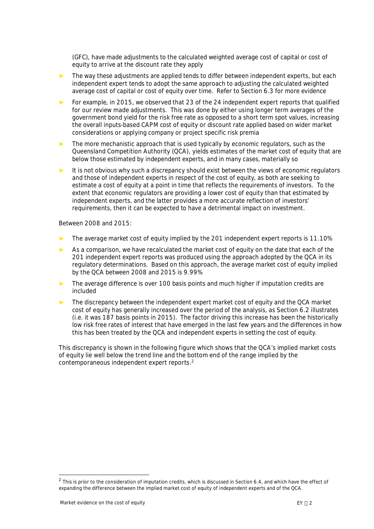(GFC), have made adjustments to the calculated weighted average cost of capital or cost of equity to arrive at the discount rate they apply

- The way these adjustments are applied tends to differ between independent experts, but each independent expert tends to adopt the same approach to adjusting the calculated weighted average cost of capital or cost of equity over time. Refer to Section [6.3](#page-22-1) for more evidence
- For example, in 2015, we observed that 23 of the 24 independent expert reports that qualified for our review made adjustments. This was done by either using longer term averages of the government bond yield for the risk free rate as opposed to a short term spot values, increasing the overall inputs-based CAPM cost of equity or discount rate applied based on wider market considerations or applying company or project specific risk premia
- The more mechanistic approach that is used typically by economic regulators, such as the Queensland Competition Authority (QCA), yields estimates of the market cost of equity that are below those estimated by independent experts, and in many cases, materially so
- ► It is not obvious why such a discrepancy should exist between the views of economic regulators and those of independent experts in respect of the cost of equity, as both are seeking to estimate a cost of equity at a point in time that reflects the requirements of investors. To the extent that economic regulators are providing a lower cost of equity than that estimated by independent experts, and the latter provides a more accurate reflection of investors' requirements, then it can be expected to have a detrimental impact on investment.

Between 2008 and 2015:

- The average market cost of equity implied by the 201 independent expert reports is 11.10%
- As a comparison, we have recalculated the market cost of equity on the date that each of the 201 independent expert reports was produced using the approach adopted by the QCA in its regulatory determinations. Based on this approach, the average market cost of equity implied by the QCA between 2008 and 2015 is 9.99%
- The average difference is over 100 basis points and much higher if imputation credits are included
- The discrepancy between the independent expert market cost of equity and the QCA market cost of equity has generally increased over the period of the analysis, as Section 6.2 illustrates (i.e. it was 187 basis points in 2015). The factor driving this increase has been the historically low risk free rates of interest that have emerged in the last few years and the differences in how this has been treated by the QCA and independent experts in setting the cost of equity.

This discrepancy is shown in the following figure which shows that the QCA's implied market costs of equity lie well below the trend line and the bottom end of the range implied by the contemporaneous independent expert reports.[2](#page-4-0)

<span id="page-4-0"></span> $^2$  This is prior to the consideration of imputation credits, which is discussed in Section 6.4, and which have the effect of expanding the difference between the implied market cost of equity of independent experts and of the QCA.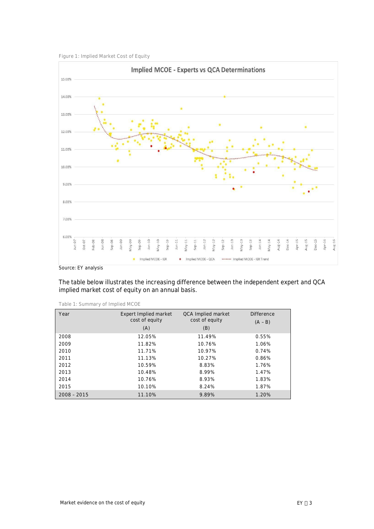



Source: EY analysis

The table below illustrates the increasing difference between the independent expert and QCA implied market cost of equity on an annual basis.

| Year          | Expert Implied market<br>cost of equity<br>(A) | QCA Implied market<br>cost of equity<br>(B) | <b>Difference</b><br>$(A - B)$ |
|---------------|------------------------------------------------|---------------------------------------------|--------------------------------|
| 2008          | 12.05%                                         | 11.49%                                      | 0.55%                          |
| 2009          | 11.82%                                         | 10.76%                                      | 1.06%                          |
| 2010          | 11.71%                                         | 10.97%                                      | 0.74%                          |
| 2011          | 11.13%                                         | 10.27%                                      | 0.86%                          |
| 2012          | 10.59%                                         | 8.83%                                       | 1.76%                          |
| 2013          | 10.48%                                         | 8.99%                                       | 1.47%                          |
| 2014          | 10.76%                                         | 8.93%                                       | 1.83%                          |
| 2015          | 10.10%                                         | 8.24%                                       | 1.87%                          |
| $2008 - 2015$ | 11.10%                                         | 9.89%                                       | 1.20%                          |

**Table 1: Summary of Implied MCOE**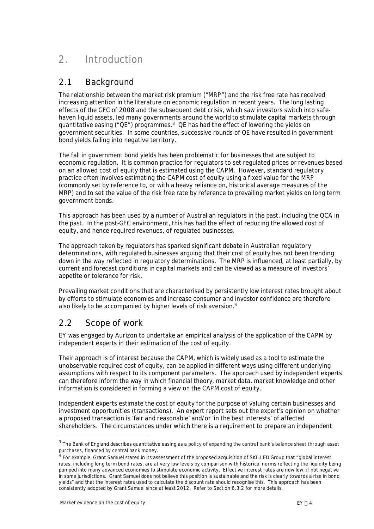# <span id="page-6-0"></span>**2. Introduction**

### <span id="page-6-1"></span>**2.1 Background**

The relationship between the market risk premium ("MRP") and the risk free rate has received increasing attention in the literature on economic regulation in recent years. The long lasting effects of the GFC of 2008 and the subsequent debt crisis, which saw investors switch into safehaven liquid assets, led many governments around the world to stimulate capital markets through quantitative easing ("QE") programmes[.](#page-6-3)<sup>3</sup> QE has had the effect of lowering the yields on government securities. In some countries, successive rounds of QE have resulted in government bond yields falling into negative territory.

The fall in government bond yields has been problematic for businesses that are subject to economic regulation. It is common practice for regulators to set regulated prices or revenues based on an allowed cost of equity that is estimated using the CAPM. However, standard regulatory practice often involves estimating the CAPM cost of equity using a fixed value for the MRP (commonly set by reference to, or with a heavy reliance on, historical average measures of the MRP) and to set the value of the risk free rate by reference to prevailing market yields on long term government bonds.

This approach has been used by a number of Australian regulators in the past, including the QCA in the past. In the post-GFC environment, this has had the effect of reducing the allowed cost of equity, and hence required revenues, of regulated businesses.

The approach taken by regulators has sparked significant debate in Australian regulatory determinations, with regulated businesses arguing that their cost of equity has not been trending down in the way reflected in regulatory determinations. The MRP is influenced, at least partially, by current and forecast conditions in capital markets and can be viewed as a measure of investors' appetite or tolerance for risk.

Prevailing market conditions that are characterised by persistently low interest rates brought about by efforts to stimulate economies and increase consumer and investor confidence are therefore also likely to be accompanied by higher levels of risk aversion[.](#page-6-4)<sup>4</sup>

# <span id="page-6-2"></span>**2.2 Scope of work**

EY was engaged by Aurizon to undertake an empirical analysis of the application of the CAPM by independent experts in their estimation of the cost of equity.

Their approach is of interest because the CAPM, which is widely used as a tool to estimate the unobservable required cost of equity, can be applied in different ways using different underlying assumptions with respect to its component parameters. The approach used by independent experts can therefore inform the way in which financial theory, market data, market knowledge and other information is considered in forming a view on the CAPM cost of equity.

Independent experts estimate the cost of equity for the purpose of valuing certain businesses and investment opportunities (transactions). An expert report sets out the expert's opinion on whether a proposed transaction is 'fair and reasonable' and/or 'in the best interests' of affected shareholders. The circumstances under which there is a requirement to prepare an independent

<span id="page-6-3"></span> $3$  The Bank of England describes quantitative easing as a policy of expanding the central bank's balance sheet through asset purchases, financed by central bank money.

<span id="page-6-4"></span><sup>&</sup>lt;sup>4</sup> For example, Grant Samuel stated in its assessment of the proposed acquisition of SKILLED Group that "global interest rates, including long term bond rates, are at very low levels by comparison with historical norms reflecting the liquidity being pumped into many advanced economies to stimulate economic activity. Effective interest rates are now low, if not negative in some jurisdictions. Grant Samuel does not believe this position is sustainable and the risk is clearly towards a rise in bond yields" and that the interest rates used to calculate the discount rate should recognise this. This approach has been consistently adopted by Grant Samuel since at least 2012. Refer to Section 6.3.2 for more details.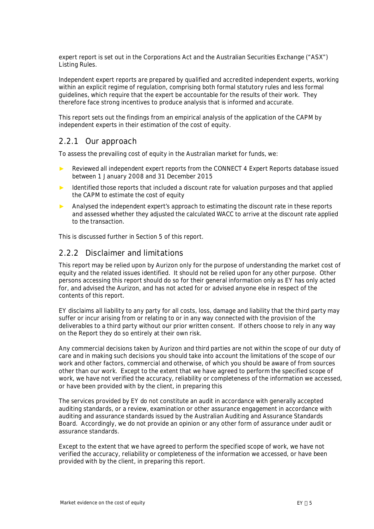expert report is set out in the Corporations Act and the Australian Securities Exchange ("ASX") Listing Rules.

Independent expert reports are prepared by qualified and accredited independent experts, working within an explicit regime of regulation, comprising both formal statutory rules and less formal guidelines, which require that the expert be accountable for the results of their work. They therefore face strong incentives to produce analysis that is informed and accurate.

This report sets out the findings from an empirical analysis of the application of the CAPM by independent experts in their estimation of the cost of equity.

### **2.2.1 Our approach**

To assess the prevailing cost of equity in the Australian market for funds, we:

- Reviewed all independent expert reports from the CONNECT 4 Expert Reports database issued between 1 January 2008 and 31 December 2015
- Identified those reports that included a discount rate for valuation purposes and that applied the CAPM to estimate the cost of equity
- ► Analysed the independent expert's approach to estimating the discount rate in these reports and assessed whether they adjusted the calculated WACC to arrive at the discount rate applied to the transaction.

This is discussed further in Section 5 of this report.

### **2.2.2 Disclaimer and limitations**

This report may be relied upon by Aurizon only for the purpose of understanding the market cost of equity and the related issues identified. It should not be relied upon for any other purpose. Other persons accessing this report should do so for their general information only as EY has only acted for, and advised the Aurizon, and has not acted for or advised anyone else in respect of the contents of this report.

EY disclaims all liability to any party for all costs, loss, damage and liability that the third party may suffer or incur arising from or relating to or in any way connected with the provision of the deliverables to a third party without our prior written consent. If others choose to rely in any way on the Report they do so entirely at their own risk.

Any commercial decisions taken by Aurizon and third parties are not within the scope of our duty of care and in making such decisions you should take into account the limitations of the scope of our work and other factors, commercial and otherwise, of which you should be aware of from sources other than our work. Except to the extent that we have agreed to perform the specified scope of work, we have not verified the accuracy, reliability or completeness of the information we accessed, or have been provided with by the client, in preparing this

The services provided by EY do not constitute an audit in accordance with generally accepted auditing standards, or a review, examination or other assurance engagement in accordance with auditing and assurance standards issued by the Australian Auditing and Assurance Standards Board. Accordingly, we do not provide an opinion or any other form of assurance under audit or assurance standards.

Except to the extent that we have agreed to perform the specified scope of work, we have not verified the accuracy, reliability or completeness of the information we accessed, or have been provided with by the client, in preparing this report.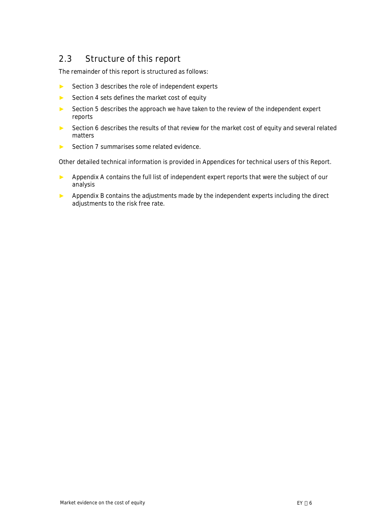# <span id="page-8-0"></span>**2.3 Structure of this report**

The remainder of this report is structured as follows:

- ► Section 3 describes the role of independent experts
- ► Section 4 sets defines the market cost of equity
- ► Section 5 describes the approach we have taken to the review of the independent expert reports
- ► Section 6 describes the results of that review for the market cost of equity and several related matters
- ► Section 7 summarises some related evidence.

Other detailed technical information is provided in Appendices for technical users of this Report.

- ► Appendix A contains the full list of independent expert reports that were the subject of our analysis
- ► Appendix B contains the adjustments made by the independent experts including the direct adjustments to the risk free rate.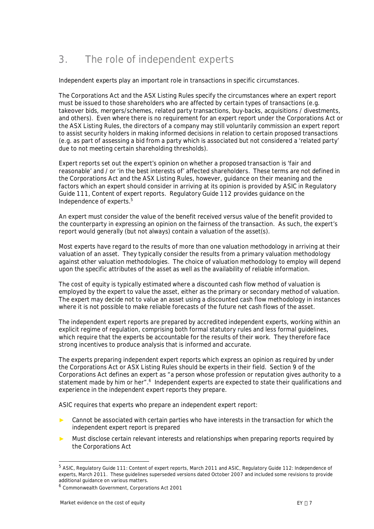# <span id="page-9-0"></span>**3. The role of independent experts**

Independent experts play an important role in transactions in specific circumstances.

The Corporations Act and the ASX Listing Rules specify the circumstances where an expert report must be issued to those shareholders who are affected by certain types of transactions (e.g. takeover bids, mergers/schemes, related party transactions, buy-backs, acquisitions / divestments, and others). Even where there is no requirement for an expert report under the Corporations Act or the ASX Listing Rules, the directors of a company may still voluntarily commission an expert report to assist security holders in making informed decisions in relation to certain proposed transactions (e.g. as part of assessing a bid from a party which is associated but not considered a 'related party' due to not meeting certain shareholding thresholds).

Expert reports set out the expert's opinion on whether a proposed transaction is 'fair and reasonable' and / or 'in the best interests of' affected shareholders. These terms are not defined in the Corporations Act and the ASX Listing Rules, however, guidance on their meaning and the factors which an expert should consider in arriving at its opinion is provided by ASIC in Regulatory Guide 111, Content of expert reports. Regulatory Guide 112 provides guidance on the Independence of experts.[5](#page-9-1)

An expert must consider the value of the benefit received versus value of the benefit provided to the counterparty in expressing an opinion on the fairness of the transaction. As such, the expert's report would generally (but not always) contain a valuation of the asset(s).

Most experts have regard to the results of more than one valuation methodology in arriving at their valuation of an asset. They typically consider the results from a primary valuation methodology against other valuation methodologies. The choice of valuation methodology to employ will depend upon the specific attributes of the asset as well as the availability of reliable information.

The cost of equity is typically estimated where a discounted cash flow method of valuation is employed by the expert to value the asset, either as the primary or secondary method of valuation. The expert may decide not to value an asset using a discounted cash flow methodology in instances where it is not possible to make reliable forecasts of the future net cash flows of the asset.

The independent expert reports are prepared by accredited independent experts, working within an explicit regime of regulation, comprising both formal statutory rules and less formal guidelines, which require that the experts be accountable for the results of their work. They therefore face strong incentives to produce analysis that is informed and accurate.

The experts preparing independent expert reports which express an opinion as required by under the Corporations Act or ASX Listing Rules should be experts in their field. Section 9 of the Corporations Act defines an expert as *"a person whose profession or reputation gives authority to a* statement made by him or her".<sup>[6](#page-9-2)</sup> Independent experts are expected to state their qualifications and experience in the independent expert reports they prepare.

ASIC requires that experts who prepare an independent expert report:

- Cannot be associated with certain parties who have interests in the transaction for which the independent expert report is prepared
- ► Must disclose certain relevant interests and relationships when preparing reports required by the Corporations Act

<span id="page-9-1"></span><sup>&</sup>lt;sup>5</sup> ASIC, Regulatory Guide 111: Content of expert reports, March 2011 and ASIC, Regulatory Guide 112: Independence of experts, March 2011. These guidelines superseded versions dated October 2007 and included some revisions to provide additional guidance on various matters.

<span id="page-9-2"></span><sup>6</sup> Commonwealth Government, Corporations Act 2001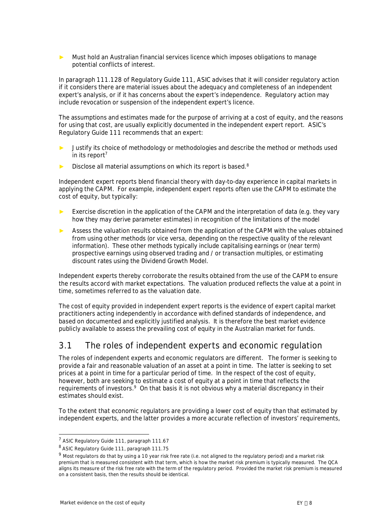Must hold an Australian financial services licence which imposes obligations to manage potential conflicts of interest.

In paragraph 111.128 of Regulatory Guide 111, ASIC advises that it will consider regulatory action if it considers there are material issues about the adequacy and completeness of an independent expert's analysis, or if it has concerns about the expert's independence. Regulatory action may include revocation or suspension of the independent expert's licence.

The assumptions and estimates made for the purpose of arriving at a cost of equity, and the reasons for using that cost, are usually explicitly documented in the independent expert report. ASIC's Regulatory Guide 111 recommends that an expert:

- Justify its choice of methodology or methodologies and describe the method or methods used in i[t](#page-10-1)s report<sup>7</sup>
- Disclose all material assumptions on which its report is based.<sup>[8](#page-10-2)</sup>

Independent expert reports blend financial theory with day-to-day experience in capital markets in applying the CAPM. For example, independent expert reports often use the CAPM to estimate the cost of equity, but typically:

- Exercise discretion in the application of the CAPM and the interpretation of data (e.g. they vary how they may derive parameter estimates) in recognition of the limitations of the model
- Assess the valuation results obtained from the application of the CAPM with the values obtained from using other methods (or vice versa, depending on the respective quality of the relevant information). These other methods typically include capitalising earnings or (near term) prospective earnings using observed trading and / or transaction multiples, or estimating discount rates using the Dividend Growth Model.

Independent experts thereby corroborate the results obtained from the use of the CAPM to ensure the results accord with market expectations. The valuation produced reflects the value at a point in time, sometimes referred to as the valuation date.

The cost of equity provided in independent expert reports is the evidence of expert capital market practitioners acting independently in accordance with defined standards of independence, and based on documented and explicitly justified analysis. It is therefore the best market evidence publicly available to assess the prevailing cost of equity in the Australian market for funds.

# <span id="page-10-0"></span>**3.1 The roles of independent experts and economic regulation**

The roles of independent experts and economic regulators are different. The former is seeking to provide a fair and reasonable valuation of an asset at a point in time. The latter is seeking to set prices at a point in time for a particular period of time. In the respect of the cost of equity, however, both are seeking to estimate a cost of equity at a point in time that reflects the requirements of investors.<sup>[9](#page-10-3)</sup> On that basis it is not obvious why a material discrepancy in their estimates should exist.

To the extent that economic regulators are providing a lower cost of equity than that estimated by independent experts, and the latter provides a more accurate reflection of investors' requirements,

<span id="page-10-1"></span><sup>&</sup>lt;sup>7</sup> ASIC Regulatory Guide 111, paragraph 111.67

<span id="page-10-2"></span><sup>8</sup> ASIC Regulatory Guide 111, paragraph 111.75

<span id="page-10-3"></span><sup>&</sup>lt;sup>9</sup> Most regulators do that by using a 10 year risk free rate (i.e. not aligned to the regulatory period) and a market risk premium that is measured consistent with that term, which is how the market risk premium is typically measured. The QCA aligns its measure of the risk free rate with the term of the regulatory period. Provided the market risk premium is measured on a consistent basis, then the results should be identical.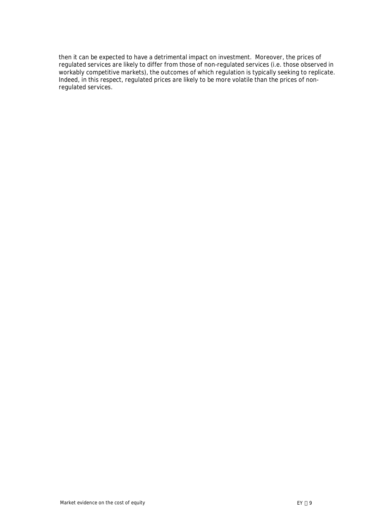then it can be expected to have a detrimental impact on investment. Moreover, the prices of regulated services are likely to differ from those of non-regulated services (i.e. those observed in workably competitive markets), the outcomes of which regulation is typically seeking to replicate. Indeed, in this respect, regulated prices are likely to be more volatile than the prices of nonregulated services.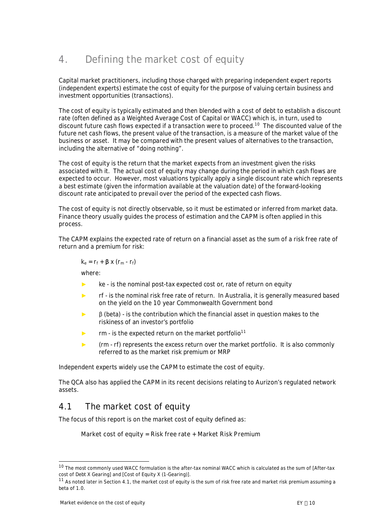# <span id="page-12-0"></span>**4. Defining the market cost of equity**

Capital market practitioners, including those charged with preparing independent expert reports (independent experts) estimate the cost of equity for the purpose of valuing certain business and investment opportunities (transactions).

The cost of equity is typically estimated and then blended with a cost of debt to establish a discount rate (often defined as a Weighted Average Cost of Capital or WACC) which is, in turn, used to discount future cash flows expected if a transaction were to proceed.[10](#page-12-2) The discounted value of the future net cash flows, the present value of the transaction, is a measure of the market value of the business or asset. It may be compared with the present values of alternatives to the transaction, including the alternative of "doing nothing".

The cost of equity is the return that the market expects from an investment given the risks associated with it. The actual cost of equity may change during the period in which cash flows are expected to occur. However, most valuations typically apply a single discount rate which represents a best estimate (given the information available at the valuation date) of the forward-looking discount rate anticipated to prevail over the period of the expected cash flows.

The cost of equity is not directly observable, so it must be estimated or inferred from market data. Finance theory usually guides the process of estimation and the CAPM is often applied in this process.

The CAPM explains the expected rate of return on a financial asset as the sum of a risk free rate of return and a premium for risk:

 $k_e = r_f + \beta \times (r_m - r_f)$ 

where:

- $\blacktriangleright$  ke is the nominal post-tax expected cost or, rate of return on equity
- ► rf is the nominal risk free rate of return. In Australia, it is generally measured based on the yield on the 10 year Commonwealth Government bond
- $\triangleright$   $\blacksquare$   $\blacksquare$   $\blacksquare$   $\blacksquare$   $\blacksquare$   $\blacksquare$   $\blacksquare$   $\blacksquare$   $\blacksquare$   $\blacksquare$   $\blacksquare$   $\blacksquare$   $\blacksquare$   $\blacksquare$   $\blacksquare$   $\blacksquare$   $\blacksquare$   $\blacksquare$   $\blacksquare$   $\blacksquare$   $\blacksquare$   $\blacksquare$   $\blacksquare$   $\blacksquare$   $\blacksquare$   $\blacksquare$   $\blacksquare$   $\blacksquare$   $\blacksquare$   $\blacksquare$   $\blacks$ riskiness of an investor's portfolio
- $\blacktriangleright$  rm is the expected return on the market portfolio<sup>[11](#page-12-3)</sup>
- ► (rm rf) represents the excess return over the market portfolio. It is also commonly referred to as the market risk premium or MRP

Independent experts widely use the CAPM to estimate the cost of equity.

The QCA also has applied the CAPM in its recent decisions relating to Aurizon's regulated network assets.

# **4.1 The market cost of equity**

The focus of this report is on the market cost of equity defined as:

<span id="page-12-1"></span>**Market cost of equity = Risk free rate + Market Risk Premium**

<span id="page-12-2"></span><sup>&</sup>lt;sup>10</sup> The most commonly used WACC formulation is the after-tax nominal WACC which is calculated as the sum of [After-tax cost of Debt X Gearing] and [Cost of Equity X (1-Gearing)].

<span id="page-12-3"></span> $11$  As noted later in Section 4.1, the market cost of equity is the sum of risk free rate and market risk premium assuming a beta of 1.0.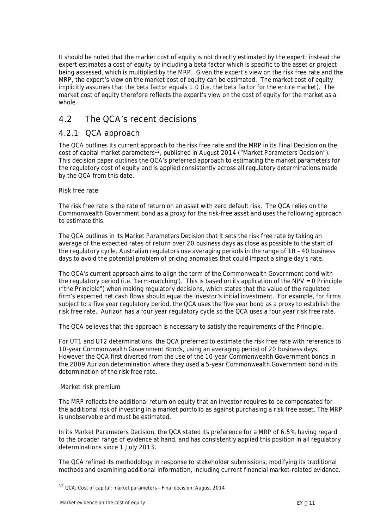It should be noted that the market cost of equity is not directly estimated by the expert; instead the expert estimates a cost of equity by including a beta factor which is specific to the asset or project being assessed, which is multiplied by the MRP. Given the expert's view on the risk free rate and the MRP, the expert's view on the market cost of equity can be estimated. The market cost of equity implicitly assumes that the beta factor equals 1.0 (i.e. the beta factor for the entire market). The market cost of equity therefore reflects the expert's view on the cost of equity for the market as a whole.

### <span id="page-13-0"></span>**4.2 The QCA's recent decisions**

### **4.2.1 QCA approach**

The QCA outlines its current approach to the risk free rate and the MRP in its Final Decision on the cost of capital market parameters<sup>[12](#page-13-1)</sup>, published in August 2014 ("Market Parameters Decision"). This decision paper outlines the QCA's preferred approach to estimating the market parameters for the regulatory cost of equity and is applied consistently across all regulatory determinations made by the QCA from this date.

#### *Risk free rate*

The risk free rate is the rate of return on an asset with zero default risk. The QCA relies on the Commonwealth Government bond as a proxy for the risk-free asset and uses the following approach to estimate this.

The QCA outlines in its Market Parameters Decision that it sets the risk free rate by taking an average of the expected rates of return over 20 business days as close as possible to the start of the regulatory cycle. Australian regulators use averaging periods in the range of 10 – 40 business days to avoid the potential problem of pricing anomalies that could impact a single day's rate.

The QCA's current approach aims to align the term of the Commonwealth Government bond with the regulatory period (i.e. 'term-matching'). This is based on its application of the NPV = 0 Principle ("the Principle") when making regulatory decisions, which states that the value of the regulated firm's expected net cash flows should equal the investor's initial investment. For example, for firms subject to a five year regulatory period, the QCA uses the five year bond as a proxy to establish the risk free rate. Aurizon has a four year regulatory cycle so the QCA uses a four year risk free rate.

The QCA believes that this approach is necessary to satisfy the requirements of the Principle.

For UT1 and UT2 determinations, the QCA preferred to estimate the risk free rate with reference to 10-year Commonwealth Government Bonds, using an averaging period of 20 business days. However the QCA first diverted from the use of the 10-year Commonwealth Government bonds in the 2009 Aurizon determination where they used a 5-year Commonwealth Government bond in its determination of the risk free rate.

### *Market risk premium*

The MRP reflects the additional return on equity that an investor requires to be compensated for the additional risk of investing in a market portfolio as against purchasing a risk free asset. The MRP is unobservable and must be estimated.

In its Market Parameters Decision, the QCA stated its preference for a MRP of 6.5%, having regard to the broader range of evidence at hand, and has consistently applied this position in all regulatory determinations since 1 July 2013.

The QCA refined its methodology in response to stakeholder submissions, modifying its traditional methods and examining additional information, including current financial market-related evidence.

<span id="page-13-1"></span><sup>12</sup> QCA, Cost of capital: market parameters – Final decision, August 2014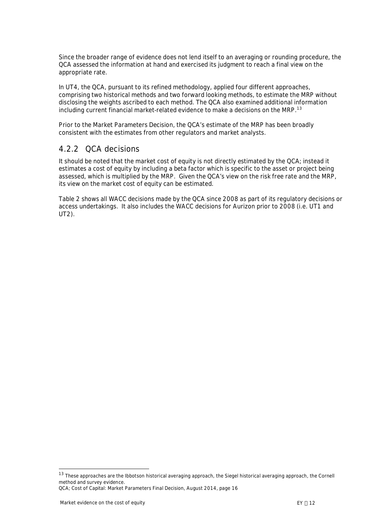Since the broader range of evidence does not lend itself to an averaging or rounding procedure, the QCA assessed the information at hand and exercised its judgment to reach a final view on the appropriate rate.

In UT4, the QCA, pursuant to its refined methodology, applied four different approaches, comprising two historical methods and two forward looking methods, to estimate the MRP without disclosing the weights ascribed to each method. The QCA also examined additional information including current financial market-related evidence to make a decisions on the MRP.[13](#page-14-0)

Prior to the Market Parameters Decision, the QCA's estimate of the MRP has been broadly consistent with the estimates from other regulators and market analysts.

### **4.2.2 QCA decisions**

It should be noted that the market cost of equity is not directly estimated by the QCA; instead it estimates a cost of equity by including a beta factor which is specific to the asset or project being assessed, which is multiplied by the MRP. Given the QCA's view on the risk free rate and the MRP, its view on the market cost of equity can be estimated.

[Table 2](#page-15-0) shows all WACC decisions made by the QCA since 2008 as part of its regulatory decisions or access undertakings. It also includes the WACC decisions for Aurizon prior to 2008 (i.e. UT1 and UT2).

<span id="page-14-0"></span><sup>&</sup>lt;sup>13</sup> These approaches are the Ibbotson historical averaging approach, the Siegel historical averaging approach, the Cornell method and survey evidence.

QCA; Cost of Capital: Market Parameters Final Decision, August 2014, page 16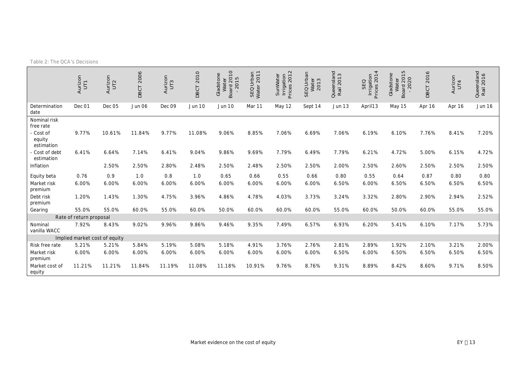<span id="page-15-0"></span>

|  | Table 2: The QCA's Decisions |
|--|------------------------------|
|--|------------------------------|

|                                   | Aurizon<br>UT1          | Aurizon<br>UT <sub>2</sub>    | 2006<br>DBCT | Aurizon<br>$\overline{u}$ | 2010<br>DBCT | $\overline{C}$<br>Gladstone<br>Water<br>Board 2010<br>- 2015 | SEQ Urban<br>Water 2011 | $\sim$<br>SunWater<br>Irrigation<br>Prices 2012 | SEQ Urban<br>Water<br>2013 | Queensland<br>Rail 2013 | $\overline{4}$<br>Irrigation<br>Prices 2014<br>SEQ | $\overline{5}$<br>Gladstone<br>Board 2015<br>-2020<br>Water | P<br>201<br>DBCT | Aurizon<br>UT4 | Queensland<br>Rail 2016 |
|-----------------------------------|-------------------------|-------------------------------|--------------|---------------------------|--------------|--------------------------------------------------------------|-------------------------|-------------------------------------------------|----------------------------|-------------------------|----------------------------------------------------|-------------------------------------------------------------|------------------|----------------|-------------------------|
| Determination<br>date             | Dec 01                  | Dec <sub>05</sub>             | Jun 06       | Dec 09                    | Jun 10       | Jun 10                                                       | Mar 11                  | May 12                                          | Sept 14                    | Jun 13                  | April 13                                           | May 15                                                      | Apr 16           | Apr 16         | Jun 16                  |
| Nominal risk<br>free rate         |                         |                               |              |                           |              |                                                              |                         |                                                 |                            |                         |                                                    |                                                             |                  |                |                         |
| - Cost of<br>equity<br>estimation | 9.77%                   | 10.61%                        | 11.84%       | 9.77%                     | 11.08%       | 9.06%                                                        | 8.85%                   | 7.06%                                           | 6.69%                      | 7.06%                   | 6.19%                                              | 6.10%                                                       | 7.76%            | 8.41%          | 7.20%                   |
| - Cost of debt<br>estimation      | 6.41%                   | 6.64%                         | 7.14%        | 6.41%                     | 9.04%        | 9.86%                                                        | 9.69%                   | 7.79%                                           | 6.49%                      | 7.79%                   | 6.21%                                              | 4.72%                                                       | 5.00%            | 6.15%          | 4.72%                   |
| Inflation                         |                         | 2.50%                         | 2.50%        | 2.80%                     | 2.48%        | 2.50%                                                        | 2.48%                   | 2.50%                                           | 2.50%                      | 2.00%                   | 2.50%                                              | 2.60%                                                       | 2.50%            | 2.50%          | 2.50%                   |
| Equity beta                       | 0.76                    | 0.9                           | 1.0          | 0.8                       | 1.0          | 0.65                                                         | 0.66                    | 0.55                                            | 0.66                       | 0.80                    | 0.55                                               | 0.64                                                        | 0.87             | 0.80           | 0.80                    |
| Market risk<br>premium            | 6.00%                   | 6.00%                         | 6.00%        | 6.00%                     | 6.00%        | 6.00%                                                        | 6.00%                   | 6.00%                                           | 6.00%                      | 6.50%                   | 6.00%                                              | 6.50%                                                       | 6.50%            | 6.50%          | 6.50%                   |
| Debt risk<br>premium              | 1.20%                   | 1.43%                         | 1.30%        | 4.75%                     | 3.96%        | 4.86%                                                        | 4.78%                   | 4.03%                                           | 3.73%                      | 3.24%                   | 3.32%                                              | 2.80%                                                       | 2.90%            | 2.94%          | 2.52%                   |
| Gearing                           | 55.0%                   | 55.0%                         | 60.0%        | 55.0%                     | 60.0%        | 50.0%                                                        | 60.0%                   | 60.0%                                           | 60.0%                      | 55.0%                   | 60.0%                                              | 50.0%                                                       | 60.0%            | 55.0%          | 55.0%                   |
|                                   | Rate of return proposal |                               |              |                           |              |                                                              |                         |                                                 |                            |                         |                                                    |                                                             |                  |                |                         |
| Nominal<br>vanilla WACC           | 7.92%                   | 8.43%                         | 9.02%        | 9.96%                     | 9.86%        | 9.46%                                                        | 9.35%                   | 7.49%                                           | 6.57%                      | 6.93%                   | 6.20%                                              | 5.41%                                                       | 6.10%            | 7.17%          | 5.73%                   |
|                                   |                         | Implied market cost of equity |              |                           |              |                                                              |                         |                                                 |                            |                         |                                                    |                                                             |                  |                |                         |
| Risk free rate                    | 5.21%                   | 5.21%                         | 5.84%        | 5.19%                     | 5.08%        | 5.18%                                                        | 4.91%                   | 3.76%                                           | 2.76%                      | 2.81%                   | 2.89%                                              | 1.92%                                                       | 2.10%            | 3.21%          | 2.00%                   |
| Market risk<br>premium            | 6.00%                   | 6.00%                         | 6.00%        | 6.00%                     | 6.00%        | 6.00%                                                        | 6.00%                   | 6.00%                                           | 6.00%                      | 6.50%                   | 6.00%                                              | 6.50%                                                       | 6.50%            | 6.50%          | 6.50%                   |
| Market cost of<br>equity          | 11.21%                  | 11.21%                        | 11.84%       | 11.19%                    | 11.08%       | 11.18%                                                       | 10.91%                  | 9.76%                                           | 8.76%                      | 9.31%                   | 8.89%                                              | 8.42%                                                       | 8.60%            | 9.71%          | 8.50%                   |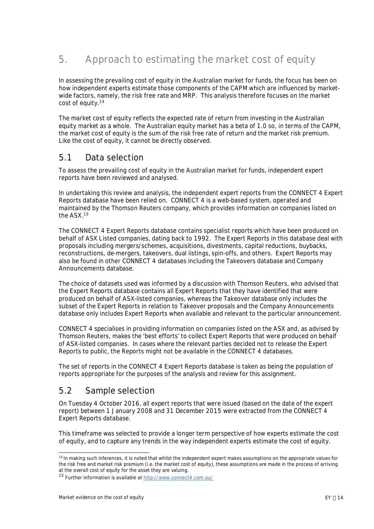# <span id="page-16-0"></span>**5. Approach to estimating the market cost of equity**

In assessing the prevailing cost of equity in the Australian market for funds, the focus has been on how independent experts estimate those components of the CAPM which are influenced by marketwide factors, namely, the risk free rate and MRP. This analysis therefore focuses on the market cost of equity.[14](#page-16-3)

The market cost of equity reflects the expected rate of return from investing in the Australian equity market as a whole. The Australian equity market has a beta of 1.0 so, in terms of the CAPM, the market cost of equity is the sum of the risk free rate of return and the market risk premium. Like the cost of equity, it cannot be directly observed.

### <span id="page-16-1"></span>**5.1 Data selection**

To assess the prevailing cost of equity in the Australian market for funds, independent expert reports have been reviewed and analysed.

In undertaking this review and analysis, the independent expert reports from the CONNECT 4 Expert Reports database have been relied on. CONNECT 4 is a web-based system, operated and maintained by the Thomson Reuters company, which provides information on companies listed on the ASX.[15](#page-16-4)

The CONNECT 4 Expert Reports database contains specialist reports which have been produced on behalf of ASX Listed companies, dating back to 1992. The Expert Reports in this database deal with proposals including mergers/schemes, acquisitions, divestments, capital reductions, buybacks, reconstructions, de-mergers, takeovers, dual listings, spin-offs, and others. Expert Reports may also be found in other CONNECT 4 databases including the Takeovers database and Company Announcements database.

The choice of datasets used was informed by a discussion with Thomson Reuters, who advised that the Expert Reports database contains all Expert Reports that they have identified that were produced on behalf of ASX-listed companies, whereas the Takeover database only includes the subset of the Expert Reports in relation to Takeover proposals and the Company Announcements database only includes Expert Reports when available and relevant to the particular announcement.

CONNECT 4 specialises in providing information on companies listed on the ASX and, as advised by Thomson Reuters, makes the 'best efforts' to collect Expert Reports that were produced on behalf of ASX-listed companies. In cases where the relevant parties decided not to release the Expert Reports to public, the Reports might not be available in the CONNECT 4 databases.

The set of reports in the CONNECT 4 Expert Reports database is taken as being the population of reports appropriate for the purposes of the analysis and review for this assignment.

# <span id="page-16-2"></span>**5.2 Sample selection**

On Tuesday 4 October 2016, all expert reports that were issued (based on the date of the expert report) between 1 January 2008 and 31 December 2015 were extracted from the CONNECT 4 Expert Reports database.

This timeframe was selected to provide a longer term perspective of how experts estimate the cost of equity, and to capture any trends in the way independent experts estimate the cost of equity.

<span id="page-16-3"></span><sup>&</sup>lt;sup>14</sup> In making such inferences, it is noted that whilst the independent expert makes assumptions on the appropriate values for the risk free and market risk premium (i.e. the market cost of equity), these assumptions are made in the process of arriving at the overall cost of equity for the asset they are valuing.

<span id="page-16-4"></span><sup>15</sup> Further information is available at <http://www.connect4.com.au/>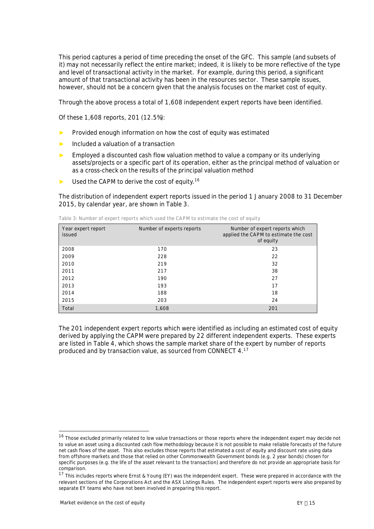This period captures a period of time preceding the onset of the GFC. This sample (and subsets of it) may not necessarily reflect the entire market; indeed, it is likely to be more reflective of the type and level of transactional activity in the market. For example, during this period, a significant amount of that transactional activity has been in the resources sector. These sample issues, however, should not be a concern given that the analysis focuses on the market cost of equity.

Through the above process a total of 1,608 independent expert reports have been identified.

Of these 1,608 reports, 201 (12.5%):

- Provided enough information on how the cost of equity was estimated
- Included a valuation of a transaction
- Employed a discounted cash flow valuation method to value a company or its underlying assets/projects or a specific part of its operation, either as the principal method of valuation or as a cross-check on the results of the principal valuation method
- Used the CAPM to derive the cost of equity.<sup>[16](#page-17-1)</sup>

The distribution of independent expert reports issued in the period 1 January 2008 to 31 December 2015, by calendar year, are shown in [Table 3](#page-17-0).

| Year expert report<br>issued | Number of experts reports | Number of expert reports which<br>applied the CAPM to estimate the cost<br>of equity |
|------------------------------|---------------------------|--------------------------------------------------------------------------------------|
| 2008                         | 170                       | 23                                                                                   |
| 2009                         | 228                       | 22                                                                                   |
| 2010                         | 219                       | 32                                                                                   |
| 2011                         | 217                       | 38                                                                                   |
| 2012                         | 190                       | 27                                                                                   |
| 2013                         | 193                       | 17                                                                                   |
| 2014                         | 188                       | 18                                                                                   |
| 2015                         | 203                       | 24                                                                                   |
| Total                        | 1,608                     | 201                                                                                  |

<span id="page-17-0"></span>**Table 3: Number of expert reports which used the CAPM to estimate the cost of equity**

The 201 independent expert reports which were identified as including an estimated cost of equity derived by applying the CAPM were prepared by 22 different independent experts. These experts are listed in [Table 4](#page-18-0), which shows the sample market share of the expert by number of reports produced and by transaction value, as sourced from CONNECT 4.[17](#page-17-2)

<span id="page-17-1"></span><sup>&</sup>lt;sup>16</sup> Those excluded primarily related to low value transactions or those reports where the independent expert may decide not to value an asset using a discounted cash flow methodology because it is not possible to make reliable forecasts of the future net cash flows of the asset. This also excludes those reports that estimated a cost of equity and discount rate using data from offshore markets and those that relied on other Commonwealth Government bonds (e.g. 2 year bonds) chosen for specific purposes (e.g. the life of the asset relevant to the transaction) and therefore do not provide an appropriate basis for comparison.

<span id="page-17-2"></span> $17$  This includes reports where Ernst & Young (EY) was the independent expert. These were prepared in accordance with the relevant sections of the Corporations Act and the ASX Listings Rules. The independent expert reports were also prepared by separate EY teams who have not been involved in preparing this report.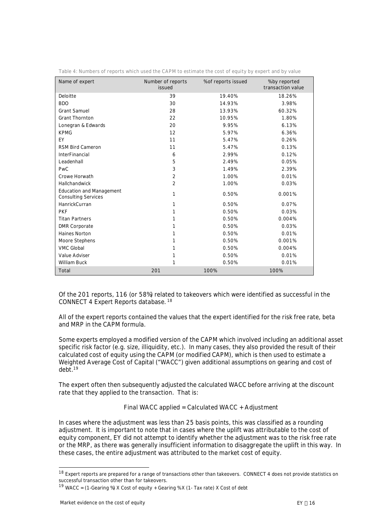| Name of expert                                                | Number of reports<br>issued | % of reports issued | % by reported<br>transaction value |
|---------------------------------------------------------------|-----------------------------|---------------------|------------------------------------|
| Deloitte                                                      | 39                          | 19.40%              | 18.26%                             |
| <b>BDO</b>                                                    | 30                          | 14.93%              | 3.98%                              |
| <b>Grant Samuel</b>                                           | 28                          | 13.93%              | 60.32%                             |
| <b>Grant Thornton</b>                                         | 22                          | 10.95%              | 1.80%                              |
| Lonegran & Edwards                                            | 20                          | 9.95%               | 6.13%                              |
| <b>KPMG</b>                                                   | 12                          | 5.97%               | 6.36%                              |
| EY                                                            | 11                          | 5.47%               | 0.26%                              |
| RSM Bird Cameron                                              | 11                          | 5.47%               | 0.13%                              |
| InterFinancial                                                | 6                           | 2.99%               | 0.12%                              |
| Leadenhall                                                    | 5                           | 2.49%               | 0.05%                              |
| <b>PwC</b>                                                    | 3                           | 1.49%               | 2.39%                              |
| Crowe Horwath                                                 | $\overline{2}$              | 1.00%               | 0.01%                              |
| Hallchandwick                                                 | $\overline{2}$              | 1.00%               | 0.03%                              |
| <b>Education and Management</b><br><b>Consulting Services</b> | 1                           | 0.50%               | 0.001%                             |
| HanrickCurran                                                 | 1                           | 0.50%               | 0.07%                              |
| <b>PKF</b>                                                    | 1                           | 0.50%               | 0.03%                              |
| <b>Titan Partners</b>                                         | 1                           | 0.50%               | 0.004%                             |
| <b>DMR Corporate</b>                                          | 1                           | 0.50%               | 0.03%                              |
| Haines Norton                                                 | 1                           | 0.50%               | 0.01%                              |
| Moore Stephens                                                | 1                           | 0.50%               | 0.001%                             |
| <b>VMC Global</b>                                             | 1                           | 0.50%               | 0.004%                             |
| Value Adviser                                                 | 1                           | 0.50%               | 0.01%                              |
| <b>William Buck</b>                                           | 1                           | 0.50%               | 0.01%                              |
| Total                                                         | 201                         | 100%                | 100%                               |

<span id="page-18-0"></span>**Table 4: Numbers of reports which used the CAPM to estimate the cost of equity by expert and by value**

Of the 201 reports, 116 (or 58%) related to takeovers which were identified as successful in the CONNECT 4 Expert Reports database. [18](#page-18-1)

All of the expert reports contained the values that the expert identified for the risk free rate, beta and MRP in the CAPM formula.

Some experts employed a modified version of the CAPM which involved including an additional asset specific risk factor (e.g. size, illiquidity, etc.). In many cases, they also provided the result of their calculated cost of equity using the CAPM (or modified CAPM), which is then used to estimate a Weighted Average Cost of Capital ("WACC") given additional assumptions on gearing and cost of debt.[19](#page-18-2)

The expert often then subsequently adjusted the calculated WACC before arriving at the discount rate that they applied to the transaction. That is:

#### *Final WACC applied = Calculated WACC + Adjustment*

In cases where the adjustment was less than 25 basis points, this was classified as a rounding adjustment. It is important to note that in cases where the uplift was attributable to the cost of equity component, EY did not attempt to identify whether the adjustment was to the risk free rate or the MRP, as there was generally insufficient information to disaggregate the uplift in this way. In these cases, the entire adjustment was attributed to the market cost of equity.

<span id="page-18-1"></span><sup>&</sup>lt;sup>18</sup> Expert reports are prepared for a range of transactions other than takeovers. CONNECT 4 does not provide statistics on successful transaction other than for takeovers.

<span id="page-18-2"></span><sup>&</sup>lt;sup>19</sup> WACC = (1-Gearing %) X Cost of equity + Gearing % X (1- Tax rate) X Cost of debt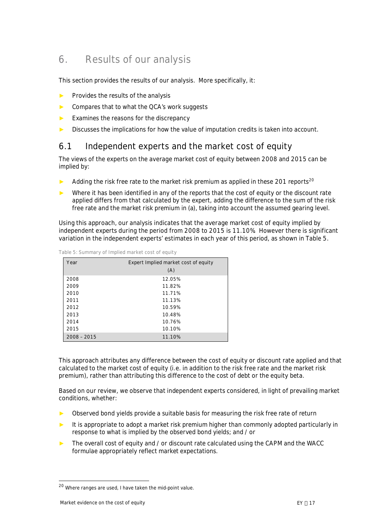# <span id="page-19-0"></span>**6. Results of our analysis**

This section provides the results of our analysis. More specifically, it:

- Provides the results of the analysis
- Compares that to what the QCA's work suggests
- ► Examines the reasons for the discrepancy
- ► Discusses the implications for how the value of imputation credits is taken into account.

### <span id="page-19-1"></span>**6.1 Independent experts and the market cost of equity**

The views of the experts on the average market cost of equity between 2008 and 2015 can be implied by:

- Adding the risk free rate to the market risk premium as applied in these [20](#page-19-3)1 reports<sup>20</sup>
- Where it has been identified in any of the reports that the cost of equity or the discount rate applied differs from that calculated by the expert, adding the difference to the sum of the risk free rate and the market risk premium in (a), taking into account the assumed gearing level.

Using this approach, our analysis indicates that the average market cost of equity implied by independent experts during the period from 2008 to 2015 is 11.10%. However there is significant variation in the independent experts' estimates in each year of this period, as shown in [Table 5](#page-19-2).

| Year          | Expert Implied market cost of equity |
|---------------|--------------------------------------|
|               | (A)                                  |
| 2008          | 12.05%                               |
| 2009          | 11.82%                               |
| 2010          | 11.71%                               |
| 2011          | 11.13%                               |
| 2012          | 10.59%                               |
| 2013          | 10.48%                               |
| 2014          | 10.76%                               |
| 2015          | 10.10%                               |
| $2008 - 2015$ | 11.10%                               |

<span id="page-19-2"></span>**Table 5: Summary of Implied market cost of equity**

This approach attributes any difference between the cost of equity or discount rate applied and that calculated to the market cost of equity (i.e. in addition to the risk free rate and the market risk premium), rather than attributing this difference to the cost of debt or the equity beta.

Based on our review, we observe that independent experts considered, in light of prevailing market conditions, whether:

- ► Observed bond yields provide a suitable basis for measuring the risk free rate of return
- ► It is appropriate to adopt a market risk premium higher than commonly adopted particularly in response to what is implied by the observed bond yields; and / or
- The overall cost of equity and / or discount rate calculated using the CAPM and the WACC formulae appropriately reflect market expectations.

<span id="page-19-3"></span><sup>20</sup> Where ranges are used, I have taken the mid-point value.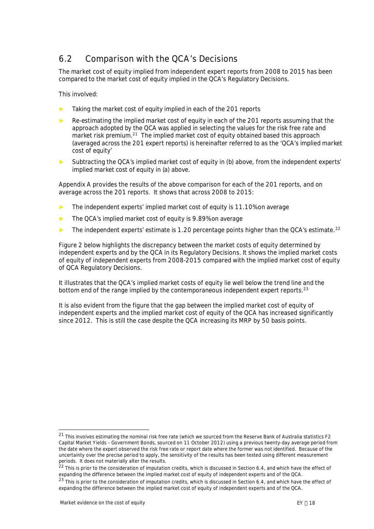# <span id="page-20-0"></span>**6.2 Comparison with the QCA's Decisions**

The market cost of equity implied from independent expert reports from 2008 to 2015 has been compared to the market cost of equity implied in the QCA's Regulatory Decisions.

This involved:

- Taking the market cost of equity implied in each of the 201 reports
- Re-estimating the implied market cost of equity in each of the 201 reports assuming that the approach adopted by the QCA was applied in selecting the values for the risk free rate and market risk premium.<sup>[21](#page-20-1)</sup> The implied market cost of equity obtained based this approach (averaged across the 201 expert reports) is hereinafter referred to as the 'QCA's implied market cost of equity'
- Subtracting the QCA's implied market cost of equity in (b) above, from the independent experts' implied market cost of equity in (a) above.

[Appendix A](#page-34-0) provides the results of the above comparison for each of the 201 reports, and on average across the 201 reports. It shows that across 2008 to 2015:

- The independent experts' implied market cost of equity is 11.10% on average
- The QCA's implied market cost of equity is 9.89% on average
- The independent experts' estimate is 1.20 percentage points higher than the QCA's estimate.<sup>[22](#page-20-2)</sup>

[Figure 2](#page-21-0) below highlights the discrepancy between the market costs of equity determined by independent experts and by the QCA in its Regulatory Decisions. It shows the implied market costs of equity of independent experts from 2008-2015 compared with the implied market cost of equity of QCA Regulatory Decisions.

It illustrates that the QCA's implied market costs of equity lie well below the trend line and the bottom end of the range implied by the contemporaneous independent expert reports. $^{23}$  $^{23}$  $^{23}$ 

It is also evident from the figure that the gap between the implied market cost of equity of independent experts and the implied market cost of equity of the QCA has increased significantly since 2012. This is still the case despite the QCA increasing its MRP by 50 basis points.

<span id="page-20-1"></span> $21$  This involves estimating the nominal risk free rate (which we sourced from the Reserve Bank of Australia statistics F2 Capital Market Yields – Government Bonds, sourced on 11 October 2012) using a previous twenty-day average period from the date where the expert observed the risk free rate or report date where the former was not identified. Because of the uncertainty over the precise period to apply, the sensitivity of the results has been tested using different measurement periods. It does not materially alter the results.

<span id="page-20-2"></span><sup>&</sup>lt;sup>22</sup> This is prior to the consideration of imputation credits, which is discussed in Section 6.4, and which have the effect of expanding the difference between the implied market cost of equity of independent experts and of the QCA.

<span id="page-20-3"></span> $^{23}$  This is prior to the consideration of imputation credits, which is discussed in Section 6.4, and which have the effect of expanding the difference between the implied market cost of equity of independent experts and of the QCA.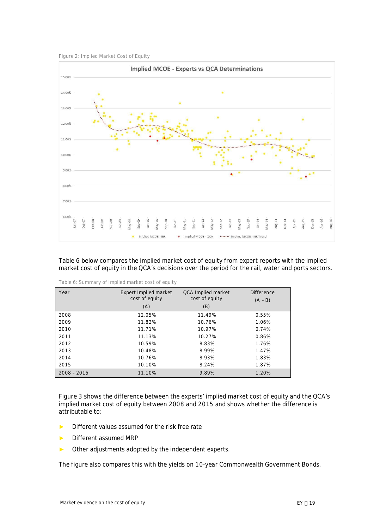<span id="page-21-0"></span>



[Table 6](#page-21-1) below compares the implied market cost of equity from expert reports with the implied market cost of equity in the QCA's decisions over the period for the rail, water and ports sectors.

| Year          | Expert Implied market<br>cost of equity<br>(A) | QCA Implied market<br>cost of equity<br>(B) | <b>Difference</b><br>$(A - B)$ |
|---------------|------------------------------------------------|---------------------------------------------|--------------------------------|
| 2008          | 12.05%                                         | 11.49%                                      | 0.55%                          |
| 2009          | 11.82%                                         | 10.76%                                      | 1.06%                          |
| 2010          | 11.71%                                         | 10.97%                                      | 0.74%                          |
| 2011          | 11.13%                                         | 10.27%                                      | 0.86%                          |
| 2012          | 10.59%                                         | 8.83%                                       | 1.76%                          |
| 2013          | 10.48%                                         | 8.99%                                       | 1.47%                          |
| 2014          | 10.76%                                         | 8.93%                                       | 1.83%                          |
| 2015          | 10.10%                                         | 8.24%                                       | 1.87%                          |
| $2008 - 2015$ | 11.10%                                         | 9.89%                                       | 1.20%                          |

<span id="page-21-1"></span>**Table 6: Summary of Implied market cost of equity**

[Figure 3](#page-22-2) shows the difference between the experts' implied market cost of equity and the QCA's implied market cost of equity between 2008 and 2015 and shows whether the difference is attributable to:

- Different values assumed for the risk free rate
- Different assumed MRP
- ► Other adjustments adopted by the independent experts.

The figure also compares this with the yields on 10-year Commonwealth Government Bonds.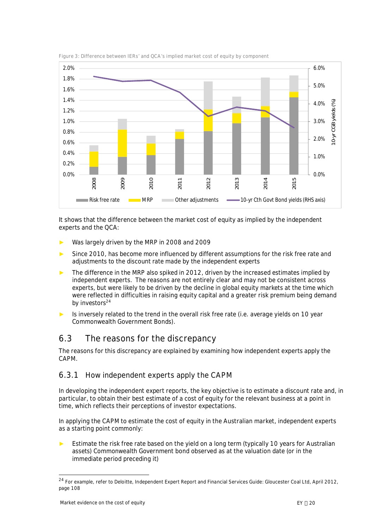

<span id="page-22-2"></span>**Figure 3: Difference between IERs' and QCA's implied market cost of equity by component**

It shows that the difference between the market cost of equity as implied by the independent experts and the QCA:

- Was largely driven by the MRP in 2008 and 2009
- Since 2010, has become more influenced by different assumptions for the risk free rate and adjustments to the discount rate made by the independent experts
- The difference in the MRP also spiked in 2012, driven by the increased estimates implied by independent experts. The reasons are not entirely clear and may not be consistent across experts, but were likely to be driven by the decline in global equity markets at the time which were reflected in difficulties in raising equity capital and a greater risk premium being demand by investors<sup>[24](#page-22-3)</sup>
- Is inversely related to the trend in the overall risk free rate (i.e. average yields on 10 year Commonwealth Government Bonds).

# <span id="page-22-1"></span><span id="page-22-0"></span>**6.3 The reasons for the discrepancy**

The reasons for this discrepancy are explained by examining how independent experts apply the CAPM.

### **6.3.1 How independent experts apply the CAPM**

In developing the independent expert reports, the key objective is to estimate a discount rate and, in particular, to obtain their best estimate of a cost of equity for the relevant business at a point in time, which reflects their perceptions of investor expectations.

In applying the CAPM to estimate the cost of equity in the Australian market, independent experts as a starting point commonly:

Estimate the risk free rate based on the yield on a long term (typically 10 years for Australian assets) Commonwealth Government bond observed as at the valuation date (or in the immediate period preceding it)

<span id="page-22-3"></span><sup>&</sup>lt;sup>24</sup> For example, refer to Deloitte, Independent Expert Report and Financial Services Guide: Gloucester Coal Ltd, April 2012, page 108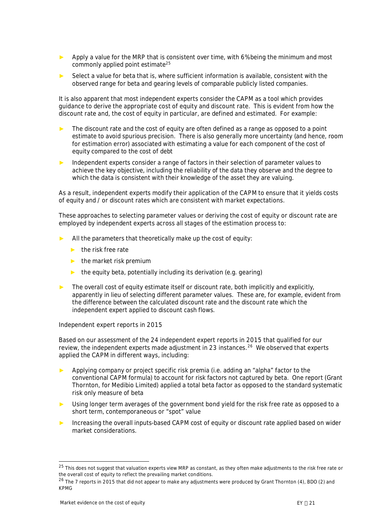- Apply a value for the MRP that is consistent over time, with 6% being the minimum and most commonly applied point estimate[25](#page-23-0)
- Select a value for beta that is, where sufficient information is available, consistent with the observed range for beta and gearing levels of comparable publicly listed companies.

It is also apparent that most independent experts consider the CAPM as a tool which provides guidance to derive the appropriate cost of equity and discount rate. This is evident from how the discount rate and, the cost of equity in particular, are defined and estimated. For example:

- ► The discount rate and the cost of equity are often defined as a range as opposed to a point estimate to avoid spurious precision. There is also generally more uncertainty (and hence, room for estimation error) associated with estimating a value for each component of the cost of equity compared to the cost of debt
- Independent experts consider a range of factors in their selection of parameter values to achieve the key objective, including the reliability of the data they observe and the degree to which the data is consistent with their knowledge of the asset they are valuing.

As a result, independent experts modify their application of the CAPM to ensure that it yields costs of equity and / or discount rates which are consistent with market expectations.

These approaches to selecting parameter values or deriving the cost of equity or discount rate are employed by independent experts across all stages of the estimation process to:

- All the parameters that theoretically make up the cost of equity:
	- $\blacktriangleright$  the risk free rate
	- $\blacktriangleright$  the market risk premium
	- $\blacktriangleright$  the equity beta, potentially including its derivation (e.g. gearing)
- The overall cost of equity estimate itself or discount rate, both implicitly and explicitly, apparently in lieu of selecting different parameter values. These are, for example, evident from the difference between the calculated discount rate and the discount rate which the independent expert applied to discount cash flows.

#### *Independent expert reports in 2015*

Based on our assessment of the 24 independent expert reports in 2015 that qualified for our review, the independent experts made adjustment in 23 instances.<sup>[26](#page-23-1)</sup> We observed that experts applied the CAPM in different ways, including:

- ► Applying company or project specific risk premia (i.e. adding an "alpha" factor to the conventional CAPM formula) to account for risk factors not captured by beta. One report (Grant Thornton, for Medibio Limited) applied a total beta factor as opposed to the standard systematic risk only measure of beta
- ► Using longer term averages of the government bond yield for the risk free rate as opposed to a short term, contemporaneous or "spot" value
- Increasing the overall inputs-based CAPM cost of equity or discount rate applied based on wider market considerations.

<span id="page-23-0"></span><sup>&</sup>lt;sup>25</sup> This does not suggest that valuation experts view MRP as constant, as they often make adjustments to the risk free rate or the overall cost of equity to reflect the prevailing market conditions.

<span id="page-23-1"></span> $26$  The 7 reports in 2015 that did not appear to make any adjustments were produced by Grant Thornton (4), BDO (2) and KPMG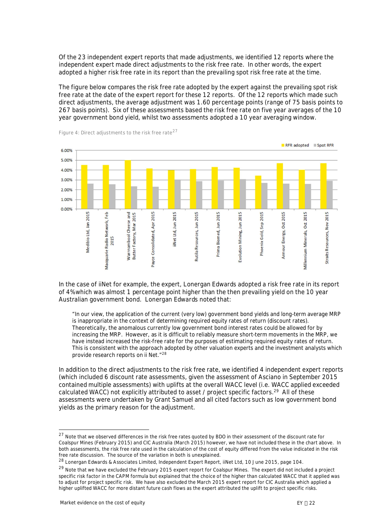Of the 23 independent expert reports that made adjustments, we identified 12 reports where the independent expert made direct adjustments to the risk free rate. In other words, the expert adopted a higher risk free rate in its report than the prevailing spot risk free rate at the time.

The figure below compares the risk free rate adopted by the expert against the prevailing spot risk free rate at the date of the expert report for these 12 reports. Of the 12 reports which made such direct adjustments, the average adjustment was 1.60 percentage points (range of 75 basis points to 267 basis points). Six of these assessments based the risk free rate on five year averages of the 10 year government bond yield, whilst two assessments adopted a 10 year averaging window.



<span id="page-24-3"></span>**Figure 4: Direct adjustments to the risk free rate[27](#page-24-0)**

In the case of iiNet for example, the expert, Lonergan Edwards adopted a risk free rate in its report of 4% which was almost 1 percentage point higher than the then prevailing yield on the 10 year Australian government bond. Lonergan Edwards noted that:

"*In our view, the application of the current (very low) government bond yields and long-term average MRP is inappropriate in the context of determining required equity rates of return (discount rates). Theoretically, the anomalous currently low government bond interest rates could be allowed for by increasing the MRP. However, as it is difficult to reliably measure short-term movements in the MRP, we have instead increased the risk-free rate for the purposes of estimating required equity rates of return. This is consistent with the approach adopted by other valuation experts and the investment analysts which provide research reports on ii Net."[28](#page-24-1)*

In addition to the direct adjustments to the risk free rate, we identified 4 independent expert reports (which included 6 discount rate assessments, given the assessment of Asciano in September 2015 contained multiple assessments) with uplifts at the overall WACC level (i.e. WACC applied exceeded calculated WACC) not explicitly attributed to asset / project specific factors.<sup>[29](#page-24-2)</sup> All of these assessments were undertaken by Grant Samuel and all cited factors such as low government bond yields as the primary reason for the adjustment.

<span id="page-24-0"></span><sup>&</sup>lt;sup>27</sup> Note that we observed differences in the risk free rates quoted by BDO in their assessment of the discount rate for Coalspur Mines (February 2015) and CIC Australia (March 2015) however, we have not included these in the chart above. In both assessments, the risk free rate used in the calculation of the cost of equity differed from the value indicated in the risk free rate discussion. The source of the variation in both is unexplained.

<span id="page-24-1"></span><sup>&</sup>lt;sup>28</sup> Lonergan Edwards & Associates Limited, Independent Expert Report, iiNet Ltd, 10 June 2015, page 104.

<span id="page-24-2"></span><sup>&</sup>lt;sup>29</sup> Note that we have excluded the February 2015 expert report for Coalspur Mines. The expert did not included a project specific risk factor in the CAPM formula but explained that the choice of the higher than calculated WACC that it applied was to adjust for project specific risk. We have also excluded the March 2015 expert report for CIC Australia which applied a higher uplifted WACC for more distant future cash flows as the expert attributed the uplift to project specific risks.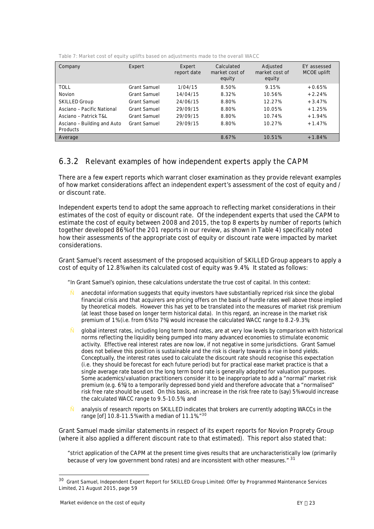| Company                                 | Expert              | Expert<br>report date | Calculated<br>market cost of<br>equity | Adjusted<br>market cost of<br>equity | EY assessed<br>MCOE uplift |
|-----------------------------------------|---------------------|-----------------------|----------------------------------------|--------------------------------------|----------------------------|
| TOLL                                    | <b>Grant Samuel</b> | 1/04/15               | 8.50%                                  | 9.15%                                | $+0.65%$                   |
| Novion                                  | <b>Grant Samuel</b> | 14/04/15              | 8.32%                                  | 10.56%                               | $+2.24%$                   |
| <b>SKILLED Group</b>                    | <b>Grant Samuel</b> | 24/06/15              | 8.80%                                  | 12.27%                               | $+3.47%$                   |
| Asciano - Pacific National              | <b>Grant Samuel</b> | 29/09/15              | 8.80%                                  | 10.05%                               | $+1.25%$                   |
| Asciano - Patrick T&L                   | <b>Grant Samuel</b> | 29/09/15              | 8.80%                                  | 10.74%                               | $+1.94%$                   |
| Asciano - Building and Auto<br>Products | <b>Grant Samuel</b> | 29/09/15              | 8.80%                                  | 10.27%                               | $+1.47%$                   |
| Average                                 |                     |                       | 8.67%                                  | 10.51%                               | $+1.84%$                   |

**Table 7: Market cost of equity uplifts based on adjustments made to the overall WACC**

### **6.3.2 Relevant examples of how independent experts apply the CAPM**

There are a few expert reports which warrant closer examination as they provide relevant examples of how market considerations affect an independent expert's assessment of the cost of equity and / or discount rate.

Independent experts tend to adopt the same approach to reflecting market considerations in their estimates of the cost of equity or discount rate. Of the independent experts that used the CAPM to estimate the cost of equity between 2008 and 2015, the top 8 experts by number of reports (which together developed 86% of the 201 reports in our review, as shown in [Table 4\)](#page-18-0) specifically noted how their assessments of the appropriate cost of equity or discount rate were impacted by market considerations.

Grant Samuel's recent assessment of the proposed acquisition of SKILLED Group appears to apply a cost of equity of 12.8% when its calculated cost of equity was 9.4%. It stated as follows:

*"In Grant Samuel's opinion, these calculations understate the true cost of capital. In this context:*

- " *anecdotal information suggests that equity investors have substantially repriced risk since the global financial crisis and that acquirers are pricing offers on the basis of hurdle rates well above those implied by theoretical models. However this has yet to be translated into the measures of market risk premium (at least those based on longer term historical data). In this regard, an increase in the market risk premium of 1% (i.e. from 6% to 7%) would increase the calculated WACC range to 8.2-9.3%;*
- " *global interest rates, including long term bond rates, are at very low levels by comparison with historical norms reflecting the liquidity being pumped into many advanced economies to stimulate economic activity. Effective real interest rates are now low, if not negative in some jurisdictions. Grant Samuel does not believe this position is sustainable and the risk is clearly towards a rise in bond yields. Conceptually, the interest rates used to calculate the discount rate should recognise this expectation (i.e. they should be forecast for each future period) but for practical ease market practice is that a single average rate based on the long term bond rate is generally adopted for valuation purposes. Some academics/valuation practitioners consider it to be inappropriate to add a "normal" market risk premium (e.g. 6%) to a temporarily depressed bond yield and therefore advocate that a "normalised" risk free rate should be used. On this basis, an increase in the risk free rate to (say) 5% would increase the calculated WACC range to 9.5-10.5%; and*
- " *analysis of research reports on SKILLED indicates that brokers are currently adopting WACCs in the range [of] 10.8-11.5% with a median of 11.1%."[30](#page-25-0)*

Grant Samuel made similar statements in respect of its expert reports for Novion Proprety Group (where it also applied a different discount rate to that estimated). This report also stated that:

<span id="page-25-1"></span>*"strict application of the CAPM at the present time gives results that are uncharacteristically low (primarily because of very low government bond rates) and are inconsistent with other measures."* [31](#page-25-1)

<span id="page-25-0"></span><sup>30</sup> Grant Samuel, Independent Expert Report for SKILLED Group Limited: Offer by Programmed Maintenance Services Limited, 21 August 2015, page 59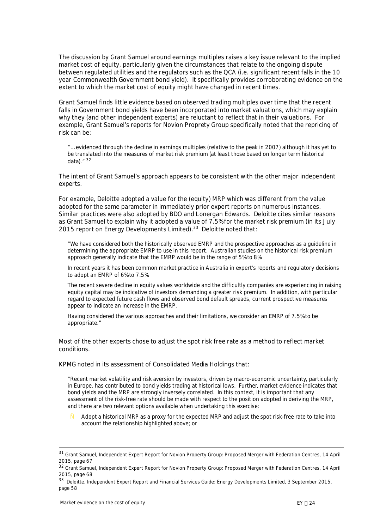The discussion by Grant Samuel around earnings multiples raises a key issue relevant to the implied market cost of equity, particularly given the circumstances that relate to the ongoing dispute between regulated utilities and the regulators such as the QCA (i.e. significant recent falls in the 10 year Commonwealth Government bond yield). It specifically provides corroborating evidence on the extent to which the market cost of equity might have changed in recent times.

Grant Samuel finds little evidence based on observed trading multiples over time that the recent falls in Government bond yields have been incorporated into market valuations, which may explain why they (and other independent experts) are reluctant to reflect that in their valuations. For example, Grant Samuel's reports for Novion Proprety Group specifically noted that the repricing of risk can be:

*"… evidenced through the decline in earnings multiples (relative to the peak in 2007) although it has yet to be translated into the measures of market risk premium (at least those based on longer term historical data)."* [32](#page-26-0)

The intent of Grant Samuel's approach appears to be consistent with the other major independent experts.

For example, Deloitte adopted a value for the (equity) MRP which was different from the value adopted for the same parameter in immediately prior expert reports on numerous instances. Similar practices were also adopted by BDO and Lonergan Edwards. Deloitte cites similar reasons as Grant Samuel to explain why it adopted a value of 7.5% for the market risk premium (in its July 2015 report on Energy Developments Limited).<sup>[33](#page-26-1)</sup> Deloitte noted that:

*"We have considered both the historically observed EMRP and the prospective approaches as a guideline in determining the appropriate EMRP to use in this report. Australian studies on the historical risk premium approach generally indicate that the EMRP would be in the range of 5% to 8%.*

*In recent years it has been common market practice in Australia in expert's reports and regulatory decisions to adopt an EMRP of 6% to 7.5%.*

*The recent severe decline in equity values worldwide and the difficultly companies are experiencing in raising equity capital may be indicative of investors demanding a greater risk premium. In addition, with particular regard to expected future cash flows and observed bond default spreads, current prospective measures appear to indicate an increase in the EMRP.*

*Having considered the various approaches and their limitations, we consider an EMRP of 7.5% to be appropriate."*

Most of the other experts chose to adjust the spot risk free rate as a method to reflect market conditions.

KPMG noted in its assessment of Consolidated Media Holdings that:

*"Recent market volatility and risk aversion by investors, driven by macro-economic uncertainty, particularly in Europe, has contributed to bond yields trading at historical lows. Further, market evidence indicates that bond yields and the MRP are strongly inversely correlated. In this context, it is important that any assessment of the risk-free rate should be made with respect to the position adopted in deriving the MRP, and there are two relevant options available when undertaking this exercise:*

" *Adopt a historical MRP as a proxy for the expected MRP and adjust the spot risk-free rate to take into account the relationship highlighted above; or*

<sup>31</sup> Grant Samuel, Independent Expert Report for Novion Property Group: Proposed Merger with Federation Centres, 14 April 2015, page 67

<span id="page-26-0"></span><sup>32</sup> Grant Samuel, Independent Expert Report for Novion Property Group: Proposed Merger with Federation Centres, 14 April 2015, page 68

<span id="page-26-1"></span><sup>33</sup> Deloitte, Independent Expert Report and Financial Services Guide: Energy Developments Limited, 3 September 2015, page 58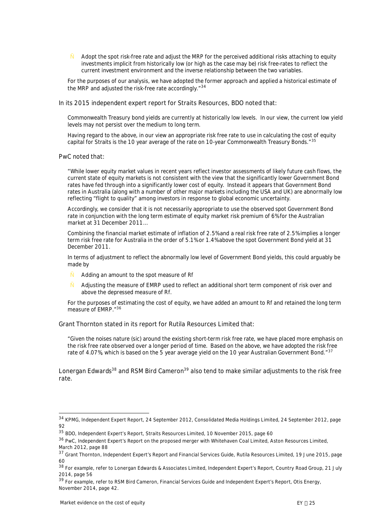" *Adopt the spot risk-free rate and adjust the MRP for the perceived additional risks attaching to equity investments implicit from historically low (or high as the case may be) risk free-rates to reflect the current investment environment and the inverse relationship between the two variables.*

*For the purposes of our analysis, we have adopted the former approach and applied a historical estimate of the MRP and adjusted the risk-free rate accordingly."*[34](#page-27-0)

In its 2015 independent expert report for Straits Resources, BDO noted that:

*Commonwealth Treasury bond yields are currently at historically low levels. In our view, the current low yield levels may not persist over the medium to long term.*

*Having regard to the above, in our view an appropriate risk free rate to use in calculating the cost of equity capital for Straits is the 10 year average of the rate on 10-year Commonwealth Treasury Bonds."*[35](#page-27-1)

PwC noted that:

*"While lower equity market values in recent years reflect investor assessments of likely future cash flows, the current state of equity markets is not consistent with the view that the significantly lower Government Bond rates have fed through into a significantly lower cost of equity. Instead it appears that Government Bond rates in Australia (along with a number of other major markets including the USA and UK) are abnormally low reflecting "flight to quality" among investors in response to global economic uncertainty.*

*Accordingly, we consider that it is not necessarily appropriate to use the observed spot Government Bond rate in conjunction with the long term estimate of equity market risk premium of 6% for the Australian market at 31 December 2011…*

*Combining the financial market estimate of inflation of 2.5% and a real risk free rate of 2.5% implies a longer term risk free rate for Australia in the order of 5.1% or 1.4% above the spot Government Bond yield at 31 December 2011.*

*In terms of adjustment to reflect the abnormally low level of Government Bond yields, this could arguably be made by*

- " *Adding an amount to the spot measure of Rf*
- " *Adjusting the measure of EMRP used to reflect an additional short term component of risk over and above the depressed measure of Rf.*

*For the purposes of estimating the cost of equity, we have added an amount to Rf and retained the long term measure of EMRP."*[36](#page-27-2)

Grant Thornton stated in its report for Rutila Resources Limited that:

*"Given the noises nature (sic) around the existing short-term risk free rate, we have placed more emphasis on the risk free rate observed over a longer period of time. Based on the above, we have adopted the risk free rate of 4.07%, which is based on the 5 year average yield on the 10 year Australian Government Bond."*[37](#page-27-3)

Lonergan Edwards<sup>[38](#page-27-4)</sup> and RSM Bird Cameron<sup>[39](#page-27-5)</sup> also tend to make similar adjustments to the risk free rate.

<span id="page-27-0"></span><sup>34</sup> KPMG, Independent Expert Report, 24 September 2012, Consolidated Media Holdings Limited, 24 September 2012, page 92

<span id="page-27-1"></span><sup>35</sup> BDO, Independent Expert's Report, Straits Resources Limited, 10 November 2015, page 60

<span id="page-27-2"></span><sup>36</sup> PwC, Independent Expert's Report on the proposed merger with Whitehaven Coal Limited, Aston Resources Limited, March 2012, page 88

<span id="page-27-3"></span><sup>&</sup>lt;sup>37</sup> Grant Thornton, Independent Expert's Report and Financial Services Guide, Rutila Resources Limited, 19 June 2015, page  $60$ 

<span id="page-27-4"></span><sup>38</sup> For example, refer to Lonergan Edwards & Associates Limited, Independent Expert's Report, Country Road Group, 21 July 2014, page 56

<span id="page-27-5"></span><sup>39</sup> For example, refer to RSM Bird Cameron, Financial Services Guide and Independent Expert's Report, Otis Energy, November 2014, page 42.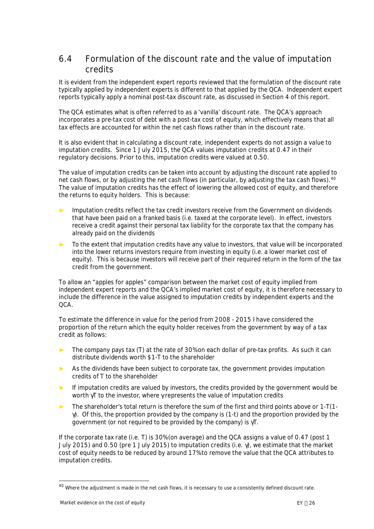### <span id="page-28-0"></span>**6.4 Formulation of the discount rate and the value of imputation credits**

It is evident from the independent expert reports reviewed that the formulation of the discount rate typically applied by independent experts is different to that applied by the QCA. Independent expert reports typically apply a nominal post-tax discount rate, as discussed in Section [4](#page-12-0) of this report.

The QCA estimates what is often referred to as a 'vanilla' discount rate. The QCA's approach incorporates a pre-tax cost of debt with a post-tax cost of equity, which effectively means that all tax effects are accounted for within the net cash flows rather than in the discount rate.

It is also evident that in calculating a discount rate, independent experts do not assign a value to imputation credits. Since 1 July 2015, the QCA values imputation credits at 0.47 in their regulatory decisions. Prior to this, imputation credits were valued at 0.50.

The value of imputation credits can be taken into account by adjusting the discount rate applied to net cash flows, or by adjusting the net cash flows (in particular, by adjusting the tax cash flows).<sup>[40](#page-28-1)</sup> The value of imputation credits has the effect of lowering the allowed cost of equity, and therefore the returns to equity holders. This is because:

- Imputation credits reflect the tax credit investors receive from the Government on dividends that have been paid on a franked basis (i.e. taxed at the corporate level). In effect, investors receive a credit against their personal tax liability for the corporate tax that the company has already paid on the dividends
- To the extent that imputation credits have any value to investors, that value will be incorporated into the lower returns investors require from investing in equity (i.e. a lower market cost of equity). This is because investors will receive part of their required return in the form of the tax credit from the government.

To allow an "apples for apples" comparison between the market cost of equity implied from independent expert reports and the QCA's implied market cost of equity, it is therefore necessary to include the difference in the value assigned to imputation credits by independent experts and the QCA.

To estimate the difference in value for the period from 2008 - 2015 I have considered the proportion of the return which the equity holder receives from the government by way of a tax credit as follows:

- The company pays tax (T) at the rate of 30% on each dollar of pre-tax profits. As such it can distribute dividends worth \$1-T to the shareholder
- ► As the dividends have been subject to corporate tax, the government provides imputation credits of T to the shareholder
- If imputation credits are valued by investors, the credits provided by the government would be worth  $\vec{q}$  to the investor, where grepresents the value of imputation credits
- ► The shareholder's total return is therefore the sum of the first and third points above or 1-T(1-  $\phi$ . Of this, the proportion provided by the company is (1-t) and the proportion provided by the government (or not required to be provided by the company) is gT.

If the corporate tax rate (i.e. T) is 30% (on average) and the QCA assigns a value of 0.47 (post 1 July 2015) and 0.50 (pre 1 July 2015) to imputation credits (i.e. g), we estimate that the market cost of equity needs to be reduced by around 17% to remove the value that the QCA attributes to imputation credits.

<span id="page-28-1"></span><sup>&</sup>lt;sup>40</sup> Where the adjustment is made in the net cash flows, it is necessary to use a consistently defined discount rate.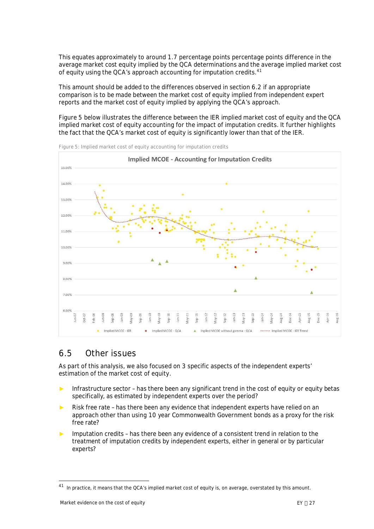This equates approximately to around 1.7 percentage points percentage points difference in the average market cost equity implied by the QCA determinations and the average implied market cost of equity using the QCA's approach accounting for imputation credits.[41](#page-29-2)

This amount should be added to the differences observed in section 6.2 if an appropriate comparison is to be made between the market cost of equity implied from independent expert reports and the market cost of equity implied by applying the QCA's approach.

[Figure 5](#page-29-1) below illustrates the difference between the IER implied market cost of equity and the QCA implied market cost of equity accounting for the impact of imputation credits. It further highlights the fact that the QCA's market cost of equity is significantly lower than that of the IER.



<span id="page-29-1"></span>**Figure 5: Implied market cost of equity accounting for imputation credits**

### <span id="page-29-0"></span>**6.5 Other issues**

As part of this analysis, we also focused on 3 specific aspects of the independent experts' estimation of the market cost of equity.

- Infrastructure sector has there been any significant trend in the cost of equity or equity betas specifically, as estimated by independent experts over the period?
- Risk free rate has there been any evidence that independent experts have relied on an approach other than using 10 year Commonwealth Government bonds as a proxy for the risk free rate?
- Imputation credits has there been any evidence of a consistent trend in relation to the treatment of imputation credits by independent experts, either in general or by particular experts?

<span id="page-29-2"></span><sup>&</sup>lt;sup>41</sup> In practice, it means that the QCA's implied market cost of equity is, on average, overstated by this amount.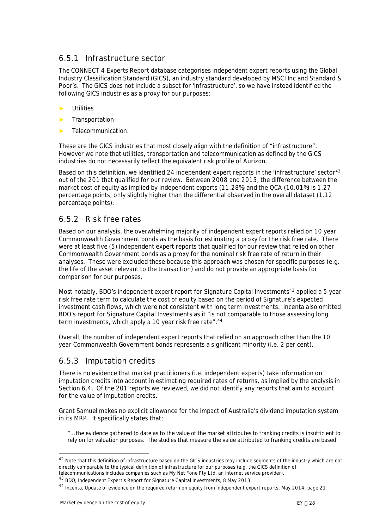### **6.5.1 Infrastructure sector**

The CONNECT 4 Experts Report database categorises independent expert reports using the Global Industry Classification Standard (GICS), an industry standard developed by MSCI Inc and Standard & Poor's. The GICS does not include a subset for 'infrastructure', so we have instead identified the following GICS industries as a proxy for our purposes:

- **Utilities**
- **Transportation**
- Telecommunication.

These are the GICS industries that most closely align with the definition of "infrastructure". However we note that utilities, transportation and telecommunication as defined by the GICS industries do not necessarily reflect the equivalent risk profile of Aurizon.

Based on this definition, we identified 24 independent expert reports in the 'infrastructure' sector<sup>[42](#page-30-0)</sup> out of the 201 that qualified for our review. Between 2008 and 2015, the difference between the market cost of equity as implied by independent experts (11.28%) and the QCA (10.01%) is 1.27 percentage points, only slightly higher than the differential observed in the overall dataset (1.12 percentage points).

### **6.5.2 Risk free rates**

Based on our analysis, the overwhelming majority of independent expert reports relied on 10 year Commonwealth Government bonds as the basis for estimating a proxy for the risk free rate. There were at least five (5) independent expert reports that qualified for our review that relied on other Commonwealth Government bonds as a proxy for the nominal risk free rate of return in their analyses. These were excluded these because this approach was chosen for specific purposes (e.g. the life of the asset relevant to the transaction) and do not provide an appropriate basis for comparison for our purposes.

Most notably, BDO's independent expert report for Signature Capital Investments<sup>[43](#page-30-1)</sup> applied a 5 year risk free rate term to calculate the cost of equity based on the period of Signature's expected investment cash flows, which were not consistent with long term investments. Incenta also omitted BDO's report for Signature Capital Investments as it "is not comparable to those assessing long term investments, which apply a 10 year risk free rate".<sup>[44](#page-30-2)</sup>

Overall, the number of independent expert reports that relied on an approach other than the 10 year Commonwealth Government bonds represents a significant minority (i.e. 2 per cent).

### **6.5.3 Imputation credits**

There is no evidence that market practitioners (i.e. independent experts) take information on imputation credits into account in estimating required rates of returns, as implied by the analysis in Section [6.4.](#page-28-0) Of the 201 reports we reviewed, we did not identify any reports that aim to account for the value of imputation credits.

Grant Samuel makes no explicit allowance for the impact of Australia's dividend imputation system in its MRP. It specifically states that:

*"… the evidence gathered to date as to the value of the market attributes to franking credits is insufficient to rely on for valuation purposes. The studies that measure the value attributed to franking credits are based*

<span id="page-30-0"></span><sup>42</sup> Note that this definition of infrastructure based on the GICS industries may include segments of the industry which are not directly comparable to the typical definition of infrastructure for our purposes (e.g. the GICS definition of telecommunications includes companies such as My Net Fone Pty Ltd, an internet service provider).

<span id="page-30-1"></span><sup>43</sup> BDO, Independent Expert's Report for Signature Capital Investments, 8 May 2013

<span id="page-30-2"></span><sup>44</sup> Incenta, Update of evidence on the required return on equity from independent expert reports, May 2014, page 21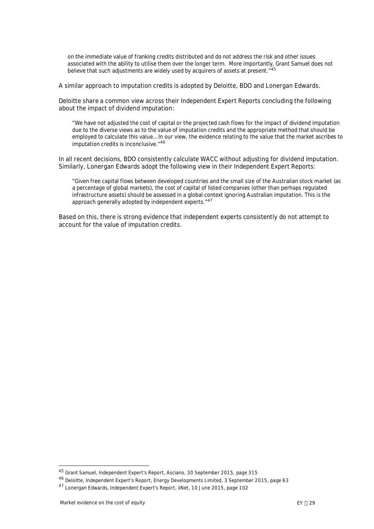*on the immediate value of franking credits distributed and do not address the risk and other issues associated with the ability to utilise them over the longer term. More importantly, Grant Samuel does not believe that such adjustments are widely used by acquirers of assets at present."[45](#page-31-0)*

A similar approach to imputation credits is adopted by Deloitte, BDO and Lonergan Edwards.

Deloitte share a common view across their Independent Expert Reports concluding the following about the impact of dividend imputation:

*"We have not adjusted the cost of capital or the projected cash flows for the impact of dividend imputation due to the diverse views as to the value of imputation credits and the appropriate method that should be employed to calculate this value… In our view, the evidence relating to the value that the market ascribes to imputation credits is inconclusive."[46](#page-31-1)*

In all recent decisions, BDO consistently calculate WACC without adjusting for dividend imputation. Similarly, Lonergan Edwards adopt the following view in their Independent Expert Reports:

*"Given free capital flows between developed countries and the small size of the Australian stock market (as a percentage of global markets), the cost of capital of listed companies (other than perhaps regulated infrastructure assets) should be assessed in a global context ignoring Australian imputation. This is the approach generally adopted by independent experts."[47](#page-31-2)*

Based on this, there is strong evidence that independent experts consistently do not attempt to account for the value of imputation credits.

<span id="page-31-0"></span><sup>45</sup> Grant Samuel, Independent Expert's Report, Asciano, 30 September 2015, page 315

<span id="page-31-1"></span><sup>46</sup> Deloitte, Independent Expert's Report, Energy Developments Limited, 3 September 2015, page 63

<span id="page-31-2"></span><sup>47</sup> Lonergan Edwards, Independent Expert's Report, iiNet, 10 June 2015, page 102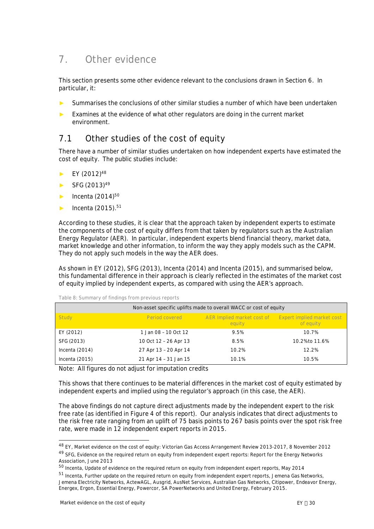# <span id="page-32-0"></span>**7. Other evidence**

This section presents some other evidence relevant to the conclusions drawn in Section 6. In particular, it:

- ► Summarises the conclusions of other similar studies a number of which have been undertaken
- ► Examines at the evidence of what other regulators are doing in the current market environment.

# <span id="page-32-1"></span>**7.1 Other studies of the cost of equity**

There have a number of similar studies undertaken on how independent experts have estimated the cost of equity. The public studies include:

- $\blacktriangleright$  EY (2012)<sup>[48](#page-32-2)</sup>
- $SFG (2013)^{49}$  $SFG (2013)^{49}$  $SFG (2013)^{49}$
- $\blacktriangleright$  Incenta (2014)<sup>[50](#page-32-4)</sup>
- $\blacktriangleright$  Incenta (2015).<sup>[51](#page-32-5)</sup>

According to these studies, it is clear that the approach taken by independent experts to estimate the components of the cost of equity differs from that taken by regulators such as the Australian Energy Regulator (AER). In particular, independent experts blend financial theory, market data, market knowledge and other information, to inform the way they apply models such as the CAPM. They do not apply such models in the way the AER does.

As shown in EY (2012), SFG (2013), Incenta (2014) and Incenta (2015), and summarised below, this fundamental difference in their approach is clearly reflected in the estimates of the market cost of equity implied by independent experts, as compared with using the AER's approach.

| Non-asset specific uplifts made to overall WACC or cost of equity |                       |                                      |                                         |  |  |  |  |
|-------------------------------------------------------------------|-----------------------|--------------------------------------|-----------------------------------------|--|--|--|--|
| Study                                                             | Period covered        | AER Implied market cost of<br>equity | Expert implied market cost<br>of equity |  |  |  |  |
| EY (2012)                                                         | 1 Jan 08 - 10 Oct 12  | 9.5%                                 | 10.7%                                   |  |  |  |  |
| SFG (2013)                                                        | 10 Oct 12 - 26 Apr 13 | 8.5%                                 | 10.2% to 11.6%                          |  |  |  |  |
| Incenta $(2014)$                                                  | 27 Apr 13 - 20 Apr 14 | 10.2%                                | 12.2%                                   |  |  |  |  |
| Incenta $(2015)$                                                  | 21 Apr 14 - 31 Jan 15 | 10.1%                                | 10.5%                                   |  |  |  |  |

**Table 8: Summary of findings from previous reports**

Note: All figures do not adjust for imputation credits

This shows that there continues to be material differences in the market cost of equity estimated by independent experts and implied using the regulator's approach (in this case, the AER).

The above findings do not capture direct adjustments made by the independent expert to the risk free rate (as identified in [Figure 4](#page-24-3) of this report). Our analysis indicates that direct adjustments to the risk free rate ranging from an uplift of 75 basis points to 267 basis points over the spot risk free rate, were made in 12 independent expert reports in 2015.

<span id="page-32-3"></span><span id="page-32-2"></span><sup>48</sup> EY, Market evidence on the cost of equity: Victorian Gas Access Arrangement Review 2013-2017, 8 November 2012 49 SFG, Evidence on the required return on equity from independent expert reports: Report for the Energy Networks Association, June 2013

<span id="page-32-4"></span><sup>50</sup> Incenta, Update of evidence on the required return on equity from independent expert reports, May 2014

<span id="page-32-5"></span><sup>51</sup> Incenta, Further update on the required return on equity from independent expert reports, Jemena Gas Networks, Jemena Electricity Networks, ActewAGL, Ausgrid, AusNet Services, Australian Gas Networks, Citipower, Endeavor Energy, Energex, Ergon, Essential Energy, Powercor, SA PowerNetworks and United Energy, February 2015.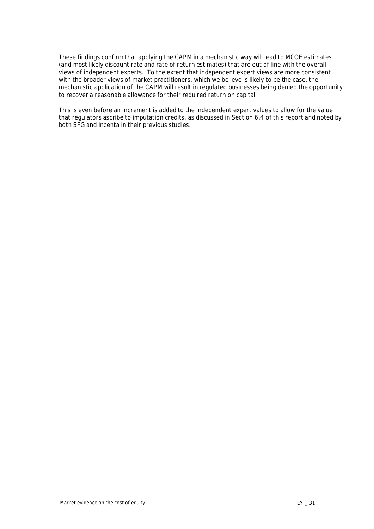These findings confirm that applying the CAPM in a mechanistic way will lead to MCOE estimates (and most likely discount rate and rate of return estimates) that are out of line with the overall views of independent experts. To the extent that independent expert views are more consistent with the broader views of market practitioners, which we believe is likely to be the case, the mechanistic application of the CAPM will result in regulated businesses being denied the opportunity to recover a reasonable allowance for their required return on capital.

This is even before an increment is added to the independent expert values to allow for the value that regulators ascribe to imputation credits, as discussed in Section 6.4 of this report and noted by both SFG and Incenta in their previous studies.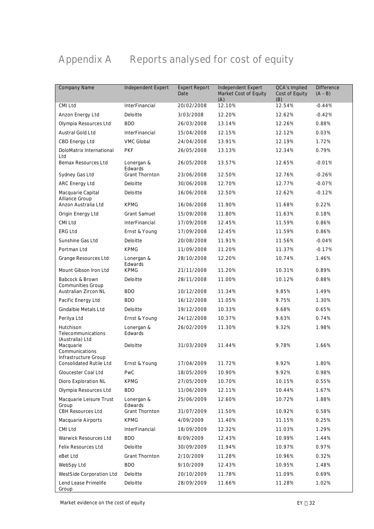# <span id="page-34-0"></span>**Appendix A Reports analysed for cost of equity**

| Company Name                                           | Independent Expert    | <b>Expert Report</b><br>Date | Independent Expert<br>Market Cost of Equity<br>(A) | QCA's Implied<br>Cost of Equity<br>(B) | <b>Difference</b><br>$(A - B)$ |
|--------------------------------------------------------|-----------------------|------------------------------|----------------------------------------------------|----------------------------------------|--------------------------------|
| CMI Ltd                                                | <b>InterFinancial</b> | 20/02/2008                   | 12.10%                                             | 12.54%                                 | $-0.44%$                       |
| Anzon Energy Ltd                                       | Deloitte              | 3/03/2008                    | 12.20%                                             | 12.62%                                 | $-0.42%$                       |
| Olympia Resources Ltd                                  | <b>BDO</b>            | 26/03/2008                   | 13.14%                                             | 12.26%                                 | 0.88%                          |
| Austral Gold Ltd                                       | <b>InterFinancial</b> | 15/04/2008                   | 12.15%                                             | 12.12%                                 | 0.03%                          |
| CBD Energy Ltd                                         | <b>VMC Global</b>     | 24/04/2008                   | 13.91%                                             | 12.19%                                 | 1.72%                          |
| DoloMatrix International<br>Ltd                        | <b>PKF</b>            | 26/05/2008                   | 13.13%                                             | 12.34%                                 | 0.79%                          |
| Bemax Resources Ltd                                    | Lonergan &<br>Edwards | 26/05/2008                   | 13.57%                                             | 12.65%                                 | $-0.01%$                       |
| Sydney Gas Ltd                                         | <b>Grant Thornton</b> | 23/06/2008                   | 12.50%                                             | 12.76%                                 | $-0.26%$                       |
| ARC Energy Ltd                                         | Deloitte              | 30/06/2008                   | 12.70%                                             | 12.77%                                 | $-0.07%$                       |
| Macquarie Capital<br>Alliance Group                    | Deloitte              | 16/06/2008                   | 12.50%                                             | 12.62%                                 | $-0.12%$                       |
| Anzon Australia Ltd                                    | <b>KPMG</b>           | 16/06/2008                   | 11.90%                                             | 11.68%                                 | 0.22%                          |
| Origin Energy Ltd                                      | <b>Grant Samuel</b>   | 15/09/2008                   | 11.80%                                             | 11.63%                                 | 0.18%                          |
| CMI Ltd                                                | <b>InterFinancial</b> | 17/09/2008                   | 12.45%                                             | 11.59%                                 | 0.86%                          |
| <b>ERG Ltd</b>                                         | Ernst & Young         | 17/09/2008                   | 12.45%                                             | 11.59%                                 | 0.86%                          |
| Sunshine Gas Ltd                                       | Deloitte              | 20/08/2008                   | 11.91%                                             | 11.56%                                 | $-0.04%$                       |
| Portman Ltd                                            | <b>KPMG</b>           | 11/09/2008                   | 11.20%                                             | 11.37%                                 | $-0.17%$                       |
| Grange Resources Ltd                                   | Lonergan &<br>Edwards | 28/10/2008                   | 12.20%                                             | 10.74%                                 | 1.46%                          |
| Mount Gibson Iron Ltd                                  | <b>KPMG</b>           | 21/11/2008                   | 11.20%                                             | 10.31%                                 | 0.89%                          |
| Babcock & Brown<br><b>Communities Group</b>            | Deloitte              | 28/11/2008                   | 11.00%                                             | 10.12%                                 | 0.88%                          |
| Australian Zircon NL                                   | <b>BDO</b>            | 10/12/2008                   | 11.34%                                             | 9.85%                                  | 1.49%                          |
| Pacific Energy Ltd                                     | <b>BDO</b>            | 16/12/2008                   | 11.05%                                             | 9.75%                                  | 1.30%                          |
| Gindalbie Metals Ltd                                   | Deloitte              | 19/12/2008                   | 10.33%                                             | 9.68%                                  | 0.65%                          |
| Perilya Ltd                                            | Ernst & Young         | 24/12/2008                   | 10.37%                                             | 9.63%                                  | 0.74%                          |
| Hutchison<br>Telecommunications                        | Lonergan &<br>Edwards | 26/02/2009                   | 11.30%                                             | 9.32%                                  | 1.98%                          |
| (Australia) Ltd<br>Macquarie<br>Communications         | Deloitte              | 31/03/2009                   | 11.44%                                             | 9.78%                                  | 1.66%                          |
| Infrastructure Group<br><b>Consolidated Rutile Ltd</b> | Ernst & Young         | 17/04/2009                   | 11.72%                                             | 9.92%                                  | 1.80%                          |
| Gloucester Coal Ltd                                    | PwC                   | 18/05/2009                   | 10.90%                                             | 9.92%                                  | 0.98%                          |
| Dioro Exploration NL                                   | <b>KPMG</b>           | 27/05/2009                   | 10.70%                                             | 10.15%                                 | 0.55%                          |
| Olympia Resources Ltd                                  | <b>BDO</b>            | 11/06/2009                   | 12.11%                                             | 10.44%                                 | 1.67%                          |
| Macquarie Leisure Trust<br>Group                       | Lonergan &<br>Edwards | 25/06/2009                   | 12.60%                                             | 10.72%                                 | 1.88%                          |
| <b>CBH Resources Ltd</b>                               | <b>Grant Thornton</b> | 31/07/2009                   | 11.50%                                             | 10.92%                                 | 0.58%                          |
| Macquarie Airports                                     | <b>KPMG</b>           | 4/09/2009                    | 11.40%                                             | 11.15%                                 | 0.25%                          |
| CMI Ltd                                                | InterFinancial        | 18/09/2009                   | 12.32%                                             | 11.03%                                 | 1.29%                          |
| Warwick Resources Ltd                                  | <b>BDO</b>            | 8/09/2009                    | 12.43%                                             | 10.99%                                 | 1.44%                          |
| Felix Resources Ltd                                    | Deloitte              | 30/09/2009                   | 11.94%                                             | 10.97%                                 | 0.97%                          |
| eBet Ltd                                               | Grant Thornton        | 2/10/2009                    | 11.28%                                             | 10.96%                                 | 0.32%                          |
| WebSpy Ltd                                             | <b>BDO</b>            | 9/10/2009                    | 12.43%                                             | 10.95%                                 | 1.48%                          |
| WestSide Corporation Ltd                               | Deloitte              | 20/10/2009                   | 11.78%                                             | 11.09%                                 | 0.69%                          |
| Lend Lease Primelife                                   | Deloitte              | 28/09/2009                   | 11.66%                                             | 11.28%                                 | 1.02%                          |
| Group                                                  |                       |                              |                                                    |                                        |                                |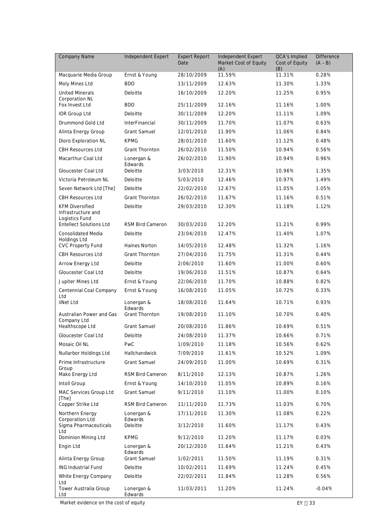| <b>Company Name</b>                                            | Independent Expert      | <b>Expert Report</b><br>Date | Independent Expert<br>Market Cost of Equity<br>(A) | QCA's Implied<br>Cost of Equity<br>(B) | <b>Difference</b><br>$(A - B)$ |
|----------------------------------------------------------------|-------------------------|------------------------------|----------------------------------------------------|----------------------------------------|--------------------------------|
| Macquarie Media Group                                          | Ernst & Young           | 28/10/2009                   | 11.59%                                             | 11.31%                                 | 0.28%                          |
| Moly Mines Ltd                                                 | <b>BDO</b>              | 13/11/2009                   | 12.63%                                             | 11.30%                                 | 1.33%                          |
| <b>United Minerals</b><br>Corporation NL                       | Deloitte                | 16/10/2009                   | 12.20%                                             | 11.25%                                 | 0.95%                          |
| Fox Invest Ltd                                                 | <b>BDO</b>              | 25/11/2009                   | 12.16%                                             | 11.16%                                 | 1.00%                          |
| IOR Group Ltd                                                  | Deloitte                | 30/11/2009                   | 12.20%                                             | 11.11%                                 | 1.09%                          |
| Drummond Gold Ltd                                              | InterFinancial          | 30/11/2009                   | 11.70%                                             | 11.07%                                 | 0.63%                          |
| Alinta Energy Group                                            | <b>Grant Samuel</b>     | 12/01/2010                   | 11.90%                                             | 11.06%                                 | 0.84%                          |
| Dioro Exploration NL                                           | <b>KPMG</b>             | 28/01/2010                   | 11.60%                                             | 11.12%                                 | 0.48%                          |
| <b>CBH Resources Ltd</b>                                       | <b>Grant Thornton</b>   | 26/02/2010                   | 11.50%                                             | 10.94%                                 | 0.56%                          |
| Macarthur Coal Ltd                                             | Lonergan &<br>Edwards   | 26/02/2010                   | 11.90%                                             | 10.94%                                 | 0.96%                          |
| Gloucester Coal Ltd                                            | Deloitte                | 3/03/2010                    | 12.31%                                             | 10.96%                                 | 1.35%                          |
| Victoria Petroleum NL                                          | Deloitte                | 5/03/2010                    | 12.46%                                             | 10.97%                                 | 1.49%                          |
| Seven Network Ltd [The]                                        | Deloitte                | 22/02/2010                   | 12.67%                                             | 11.05%                                 | 1.05%                          |
| <b>CBH Resources Ltd</b>                                       | <b>Grant Thornton</b>   | 26/02/2010                   | 11.67%                                             | 11.16%                                 | 0.51%                          |
| <b>KFM Diversified</b><br>Infrastructure and<br>Logistics Fund | Deloitte                | 29/03/2010                   | 12.30%                                             | 11.18%                                 | 1.12%                          |
| <b>Entellect Solutions Ltd</b>                                 | <b>RSM Bird Cameron</b> | 30/03/2010                   | 12.20%                                             | 11.21%                                 | 0.99%                          |
| <b>Consolidated Media</b><br>Holdings Ltd                      | Deloitte                | 23/04/2010                   | 12.47%                                             | 11.40%                                 | 1.07%                          |
| <b>CVC Property Fund</b>                                       | Haines Norton           | 14/05/2010                   | 12.48%                                             | 11.32%                                 | 1.16%                          |
| <b>CBH Resources Ltd</b>                                       | <b>Grant Thornton</b>   | 27/04/2010                   | 11.75%                                             | 11.31%                                 | 0.44%                          |
| Arrow Energy Ltd                                               | Deloitte                | 2/06/2010                    | 11.60%                                             | 11.00%                                 | 0.60%                          |
| Gloucester Coal Ltd                                            | Deloitte                | 19/06/2010                   | 11.51%                                             | 10.87%                                 | 0.64%                          |
| Jupiter Mines Ltd                                              | Ernst & Young           | 22/06/2010                   | 11.70%                                             | 10.88%                                 | 0.82%                          |
| Centennial Coal Company<br>Ltd                                 | Ernst & Young           | 16/08/2010                   | 11.05%                                             | 10.72%                                 | 0.33%                          |
| iiNet Ltd                                                      | Lonergan &<br>Edwards   | 18/08/2010                   | 11.64%                                             | 10.71%                                 | 0.93%                          |
| Australian Power and Gas<br>Company Ltd                        | <b>Grant Thornton</b>   | 19/08/2010                   | 11.10%                                             | 10.70%                                 | 0.40%                          |
| Healthscope Ltd                                                | <b>Grant Samuel</b>     | 20/08/2010                   | 11.86%                                             | 10.69%                                 | 0.51%                          |
| Gloucester Coal Ltd                                            | Deloitte                | 24/08/2010                   | 11.37%                                             | 10.66%                                 | 0.71%                          |
| Mosaic Oil NL                                                  | PwC                     | 1/09/2010                    | 11.18%                                             | 10.56%                                 | 0.62%                          |
| Nullarbor Holdings Ltd                                         | Hallchandwick           | 7/09/2010                    | 11.61%                                             | 10.52%                                 | 1.09%                          |
| Prime Infrastructure<br>Group                                  | <b>Grant Samuel</b>     | 24/09/2010                   | 11.00%                                             | 10.69%                                 | 0.31%                          |
| Mako Energy Ltd                                                | RSM Bird Cameron        | 8/11/2010                    | 12.13%                                             | 10.87%                                 | 1.26%                          |
| Intoll Group                                                   | Ernst & Young           | 14/10/2010                   | 11.05%                                             | 10.89%                                 | 0.16%                          |
| MAC Services Group Ltd<br>[The]                                | <b>Grant Samuel</b>     | 9/11/2010                    | 11.10%                                             | 11.00%                                 | 0.10%                          |
| Copper Strike Ltd                                              | RSM Bird Cameron        | 11/11/2010                   | 11.73%                                             | 11.03%                                 | 0.70%                          |
| Northern Energy<br>Corporation Ltd                             | Lonergan &<br>Edwards   | 17/11/2010                   | 11.30%                                             | 11.08%                                 | 0.22%                          |
| Sigma Pharmaceuticals<br>Ltd                                   | Deloitte                | 3/12/2010                    | 11.60%                                             | 11.17%                                 | 0.43%                          |
| Dominion Mining Ltd                                            | <b>KPMG</b>             | 9/12/2010                    | 11.20%                                             | 11.17%                                 | 0.03%                          |
| Engin Ltd                                                      | Lonergan &<br>Edwards   | 20/12/2010                   | 11.64%                                             | 11.21%                                 | 0.43%                          |
| Alinta Energy Group                                            | <b>Grant Samuel</b>     | 1/02/2011                    | 11.50%                                             | 11.19%                                 | 0.31%                          |
| <b>ING Industrial Fund</b>                                     | Deloitte                | 10/02/2011                   | 11.69%                                             | 11.24%                                 | 0.45%                          |
| White Energy Company<br>Ltd                                    | Deloitte                | 22/02/2011                   | 11.84%                                             | 11.28%                                 | 0.56%                          |
| Tower Australia Group<br>Ltd                                   | Lonergan &<br>Edwards   | 11/03/2011                   | 11.20%                                             | 11.24%                                 | $-0.04%$                       |

Market evidence on the cost of equity  $EY \div 33$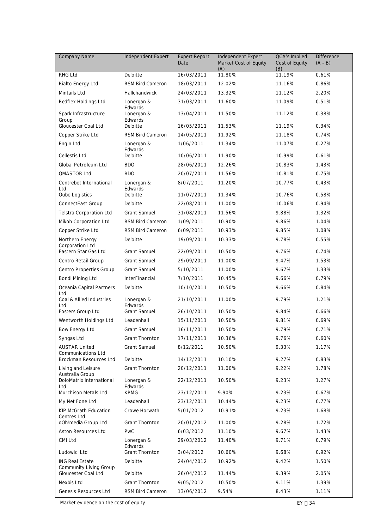| <b>Company Name</b>                                     | Independent Expert      | <b>Expert Report</b><br>Date | Independent Expert<br>Market Cost of Equity<br>(A) | QCA's Implied<br>Cost of Equity<br>(B) | <b>Difference</b><br>$(A - B)$ |  |
|---------------------------------------------------------|-------------------------|------------------------------|----------------------------------------------------|----------------------------------------|--------------------------------|--|
| RHG Ltd                                                 | Deloitte                | 16/03/2011                   | 11.80%                                             | 11.19%                                 | 0.61%                          |  |
| Rialto Energy Ltd                                       | RSM Bird Cameron        | 18/03/2011                   | 12.02%                                             | 11.16%                                 | 0.86%                          |  |
| Mintails Ltd                                            | Hallchandwick           | 24/03/2011                   | 13.32%                                             | 11.12%                                 | 2.20%                          |  |
| Redflex Holdings Ltd                                    | Lonergan &<br>Edwards   | 31/03/2011                   | 11.60%                                             | 11.09%                                 | 0.51%                          |  |
| Spark Infrastructure<br>Group                           | Lonergan &<br>Edwards   | 13/04/2011                   | 11.50%                                             | 11.12%                                 | 0.38%                          |  |
| Gloucester Coal Ltd                                     | Deloitte                | 16/05/2011                   | 11.53%                                             | 11.19%                                 | 0.34%                          |  |
| Copper Strike Ltd                                       | <b>RSM Bird Cameron</b> | 14/05/2011                   | 11.92%                                             | 11.18%                                 | 0.74%                          |  |
| Engin Ltd                                               | Lonergan &<br>Edwards   | 1/06/2011                    | 11.34%                                             | 11.07%                                 | 0.27%                          |  |
| <b>Cellestis Ltd</b>                                    | Deloitte                | 10/06/2011                   | 11.90%                                             | 10.99%                                 | 0.61%                          |  |
| Global Petroleum Ltd                                    | BDO                     | 28/06/2011                   | 12.26%                                             | 10.83%                                 | 1.43%                          |  |
| QMASTOR Ltd                                             | <b>BDO</b>              | 20/07/2011                   | 11.56%                                             | 10.81%                                 | 0.75%                          |  |
| Centrebet International<br>Ltd                          | Lonergan &<br>Edwards   | 8/07/2011                    | 11.20%                                             | 10.77%                                 | 0.43%                          |  |
| <b>Qube Logistics</b>                                   | Deloitte                | 11/07/2011                   | 11.34%                                             | 10.76%                                 | 0.58%                          |  |
| ConnectEast Group                                       | Deloitte                | 22/08/2011                   | 11.00%                                             | 10.06%                                 | 0.94%                          |  |
| Telstra Corporation Ltd                                 | <b>Grant Samuel</b>     | 31/08/2011                   | 11.56%                                             | 9.88%                                  | 1.32%                          |  |
| Mikoh Corporation Ltd                                   | RSM Bird Cameron        | 1/09/2011                    | 10.90%                                             | 9.86%                                  | 1.04%                          |  |
| Copper Strike Ltd                                       | RSM Bird Cameron        | 6/09/2011                    | 10.93%                                             | 9.85%                                  | 1.08%                          |  |
| Northern Energy<br>Corporation Ltd                      | Deloitte                | 19/09/2011                   | 10.33%                                             | 9.78%                                  | 0.55%                          |  |
| Eastern Star Gas Ltd                                    | <b>Grant Samuel</b>     | 22/09/2011                   | 10.50%                                             | 9.76%                                  | 0.74%                          |  |
| Centro Retail Group                                     | <b>Grant Samuel</b>     | 29/09/2011                   | 11.00%                                             | 9.47%                                  | 1.53%                          |  |
| Centro Properties Group                                 | <b>Grant Samuel</b>     | 5/10/2011                    | 11.00%                                             | 9.67%                                  | 1.33%                          |  |
| Bondi Mining Ltd                                        | <b>InterFinancial</b>   | 7/10/2011                    | 10.45%                                             | 9.66%                                  | 0.79%                          |  |
| Oceania Capital Partners<br>Ltd                         | Deloitte                | 10/10/2011                   | 10.50%                                             | 9.66%                                  | 0.84%                          |  |
| Coal & Allied Industries<br>Ltd                         | Lonergan &<br>Edwards   | 21/10/2011                   | 11.00%                                             | 9.79%                                  | 1.21%                          |  |
| Fosters Group Ltd                                       | <b>Grant Samuel</b>     | 26/10/2011                   | 10.50%                                             | 9.84%                                  | 0.66%                          |  |
| Wentworth Holdings Ltd                                  | Leadenhall              | 15/11/2011                   | 10.50%                                             | 9.81%                                  | 0.69%                          |  |
| Bow Energy Ltd                                          | <b>Grant Samuel</b>     | 16/11/2011                   | 10.50%                                             | 9.79%                                  | 0.71%                          |  |
| Syngas Ltd                                              | <b>Grant Thornton</b>   | 17/11/2011                   | 10.36%                                             | 9.76%                                  | 0.60%                          |  |
| <b>AUSTAR United</b><br><b>Communications Ltd</b>       | <b>Grant Samuel</b>     | 8/12/2011                    | 10.50%                                             | 9.33%                                  | 1.17%                          |  |
| Brockman Resources Ltd                                  | Deloitte                | 14/12/2011                   | 10.10%                                             | 9.27%                                  | 0.83%                          |  |
| Living and Leisure<br>Australia Group                   | <b>Grant Thornton</b>   | 20/12/2011                   | 11.00%                                             | 9.22%                                  | 1.78%                          |  |
| DoloMatrix International<br>Ltd                         | Lonergan &<br>Edwards   | 22/12/2011                   | 10.50%                                             | 9.23%                                  | 1.27%                          |  |
| Murchison Metals Ltd                                    | <b>KPMG</b>             | 23/12/2011                   | 9.90%                                              | 9.23%                                  | 0.67%                          |  |
| My Net Fone Ltd                                         | Leadenhall              | 23/12/2011                   | 10.44%                                             | 9.23%                                  | 0.77%                          |  |
| KIP McGrath Education<br><b>Centres Ltd</b>             | Crowe Horwath           | 5/01/2012                    | 10.91%                                             | 9.23%                                  | 1.68%                          |  |
| oOh!media Group Ltd                                     | <b>Grant Thornton</b>   | 20/01/2012                   | 11.00%                                             | 9.28%                                  | 1.72%                          |  |
| Aston Resources Ltd                                     | PwC                     | 6/03/2012                    | 11.10%                                             | 9.67%                                  | 1.43%                          |  |
| CMI Ltd                                                 | Lonergan &<br>Edwards   | 29/03/2012                   | 11.40%                                             | 9.71%                                  | 0.79%                          |  |
| Ludowici Ltd                                            | <b>Grant Thornton</b>   | 3/04/2012                    | 10.60%                                             | 9.68%                                  | 0.92%                          |  |
| <b>ING Real Estate</b><br><b>Community Living Group</b> | Deloitte                | 24/04/2012                   | 10.92%                                             | 9.42%                                  | 1.50%                          |  |
| Gloucester Coal Ltd                                     | Deloitte                | 26/04/2012                   | 11.44%                                             | 9.39%                                  | 2.05%                          |  |
| Nexbis Ltd                                              | <b>Grant Thornton</b>   | 9/05/2012                    | 10.50%                                             | 9.11%                                  | 1.39%                          |  |
| Genesis Resources Ltd                                   | RSM Bird Cameron        | 13/06/2012                   | 9.54%                                              | 8.43%                                  | 1.11%                          |  |

Market evidence on the cost of equity  $EY \div 34$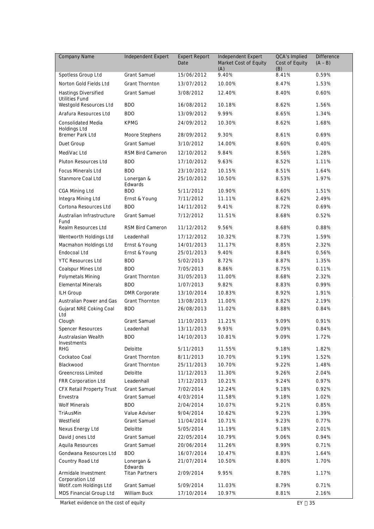| Company Name                                     | Independent Expert                      | <b>Expert Report</b><br>Date | Independent Expert<br>Market Cost of Equity<br>(A) | <b>QCA's Implied</b><br>Cost of Equity<br>(B) | <b>Difference</b><br>$(A - B)$ |  |
|--------------------------------------------------|-----------------------------------------|------------------------------|----------------------------------------------------|-----------------------------------------------|--------------------------------|--|
| Spotless Group Ltd                               | <b>Grant Samuel</b>                     | 15/06/2012                   | 9.40%                                              | 8.41%                                         | 0.59%                          |  |
| Norton Gold Fields Ltd                           | Grant Thornton                          | 13/07/2012                   | 10.00%                                             | 8.47%                                         | 1.53%                          |  |
| Hastings Diversified<br><b>Utilities Fund</b>    | <b>Grant Samuel</b>                     | 3/08/2012                    | 12.40%                                             | 8.40%                                         | 0.60%                          |  |
| Westgold Resources Ltd                           | <b>BDO</b>                              | 16/08/2012                   | 10.18%                                             | 8.62%                                         | 1.56%                          |  |
| Arafura Resources Ltd                            | <b>BDO</b>                              | 13/09/2012                   | 9.99%                                              | 8.65%                                         | 1.34%                          |  |
| <b>Consolidated Media</b><br><b>Holdings Ltd</b> | <b>KPMG</b>                             | 24/09/2012                   | 10.30%                                             | 8.62%                                         | 1.68%                          |  |
| <b>Bremer Park Ltd</b>                           | Moore Stephens                          | 28/09/2012                   | 9.30%                                              | 8.61%                                         | 0.69%                          |  |
| Duet Group                                       | <b>Grant Samuel</b>                     | 3/10/2012                    | 14.00%                                             | 8.60%                                         | 0.40%                          |  |
| MediVac Ltd                                      | RSM Bird Cameron                        | 12/10/2012                   | 9.84%                                              | 8.56%                                         | 1.28%                          |  |
| Pluton Resources Ltd                             | <b>BDO</b>                              | 17/10/2012                   | 9.63%                                              | 8.52%                                         | 1.11%                          |  |
| <b>Focus Minerals Ltd</b>                        | <b>BDO</b>                              | 23/10/2012                   | 10.15%                                             | 8.51%                                         | 1.64%                          |  |
| Stanmore Coal Ltd                                | Lonergan &                              | 25/10/2012                   | 10.50%                                             | 8.53%                                         | 1.97%                          |  |
| CGA Mining Ltd                                   | Edwards<br><b>BDO</b>                   | 5/11/2012                    | 10.90%                                             | 8.60%                                         | 1.51%                          |  |
| Integra Mining Ltd                               | Ernst & Young                           | 7/11/2012                    | 11.11%                                             | 8.62%                                         | 2.49%                          |  |
| Cortona Resources Ltd                            | <b>BDO</b>                              | 14/11/2012                   | 9.41%                                              | 8.72%                                         | 0.69%                          |  |
| Australian Infrastructure                        | <b>Grant Samuel</b>                     | 7/12/2012                    | 11.51%                                             | 8.68%                                         | 0.52%                          |  |
| Fund<br>Realm Resources Ltd                      | RSM Bird Cameron                        | 11/12/2012                   | 9.56%                                              | 8.68%                                         | 0.88%                          |  |
| Wentworth Holdings Ltd                           | Leadenhall                              | 17/12/2012                   | 10.32%                                             | 8.73%                                         | 1.59%                          |  |
| Macmahon Holdings Ltd                            | Ernst & Young                           | 14/01/2013                   | 11.17%                                             | 8.85%                                         | 2.32%                          |  |
| Endocoal Ltd                                     | Ernst & Young                           | 25/01/2013                   | 9.40%                                              | 8.84%                                         | 0.56%                          |  |
| <b>YTC Resources Ltd</b>                         | <b>BDO</b>                              | 5/02/2013                    | 8.72%                                              | 8.87%                                         | 1.35%                          |  |
| Coalspur Mines Ltd                               | <b>BDO</b>                              | 7/05/2013                    | 8.86%                                              | 8.75%                                         | 0.11%                          |  |
| Polymetals Mining                                | <b>Grant Thornton</b>                   | 31/05/2013                   | 11.00%                                             | 8.68%                                         | 2.32%                          |  |
| <b>Elemental Minerals</b>                        | <b>BDO</b>                              | 1/07/2013                    | 9.82%                                              | 8.83%                                         | 0.99%                          |  |
| <b>ILH Group</b>                                 | <b>DMR Corporate</b>                    | 13/10/2014                   | 10.83%                                             | 8.92%                                         | 1.91%                          |  |
| Australian Power and Gas                         | <b>Grant Thornton</b>                   | 13/08/2013                   | 11.00%                                             | 8.82%                                         | 2.19%                          |  |
| Gujarat NRE Coking Coal                          | <b>BDO</b>                              | 26/08/2013                   | 11.02%                                             | 8.88%                                         | 0.84%                          |  |
| Ltd                                              |                                         |                              |                                                    |                                               |                                |  |
| Clough                                           | <b>Grant Samuel</b>                     | 11/10/2013                   | 11.21%                                             | 9.09%                                         | 0.91%                          |  |
| Spencer Resources                                | Leadenhall                              | 13/11/2013                   | 9.93%                                              | 9.09%                                         | 0.84%                          |  |
| Australasian Wealth<br>Investments               | <b>BDO</b>                              | 14/10/2013                   | 10.81%                                             | 9.09%                                         | 1.72%                          |  |
| <b>RHG</b>                                       | Deloitte                                | 5/11/2013                    | 11.55%                                             | 9.18%                                         | 1.82%                          |  |
| Cockatoo Coal<br>Blackwood                       | <b>Grant Thornton</b><br>Grant Thornton | 8/11/2013                    | 10.70%                                             | 9.19%<br>9.22%                                | 1.52%<br>1.48%                 |  |
| <b>Greencross Limited</b>                        | Deloitte                                | 25/11/2013<br>11/12/2013     | 10.70%                                             | 9.26%                                         | 2.04%                          |  |
|                                                  | Leadenhall                              | 17/12/2013                   | 11.30%<br>10.21%                                   | 9.24%                                         | 0.97%                          |  |
| FRR Corporation Ltd<br>CFX Retail Property Trust | <b>Grant Samuel</b>                     | 7/02/2014                    | 12.24%                                             | 9.18%                                         | 0.92%                          |  |
| Envestra                                         | <b>Grant Samuel</b>                     | 4/03/2014                    | 11.58%                                             | 9.18%                                         | 1.02%                          |  |
| <b>Wolf Minerals</b>                             | <b>BDO</b>                              | 2/04/2014                    | 10.07%                                             | 9.21%                                         | 0.85%                          |  |
| TriAusMin                                        | Value Adviser                           | 9/04/2014                    | 10.62%                                             | 9.23%                                         | 1.39%                          |  |
| Westfield                                        | <b>Grant Samuel</b>                     | 11/04/2014                   | 10.71%                                             | 9.23%                                         | 0.77%                          |  |
| Nexus Energy Ltd                                 | Deloitte                                | 5/05/2014                    | 11.19%                                             | 9.18%                                         | 2.01%                          |  |
| David Jones Ltd                                  | <b>Grant Samuel</b>                     | 22/05/2014                   | 10.79%                                             | 9.06%                                         | 0.94%                          |  |
| Aquila Resources                                 | <b>Grant Samuel</b>                     | 20/06/2014                   | 11.26%                                             | 8.99%                                         | 0.71%                          |  |
| Gondwana Resources Ltd                           | <b>BDO</b>                              | 16/07/2014                   | 10.47%                                             | 8.83%                                         | 1.64%                          |  |
| Country Road Ltd                                 | Lonergan &                              | 21/07/2014                   | 10.50%                                             | 8.80%                                         | 1.70%                          |  |
|                                                  | Edwards                                 |                              |                                                    |                                               |                                |  |
| Armidale Investment<br>Corporation Ltd           | <b>Titan Partners</b>                   | 2/09/2014                    | 9.95%                                              | 8.78%                                         | 1.17%                          |  |
| Wotif.com Holdings Ltd                           | <b>Grant Samuel</b>                     | 5/09/2014                    | 11.03%                                             | 8.79%                                         | 0.71%                          |  |
| MDS Financial Group Ltd                          | William Buck                            | 17/10/2014                   | 10.97%                                             | 8.81%                                         | 2.16%                          |  |

Market evidence on the cost of equity  $EY \div 35$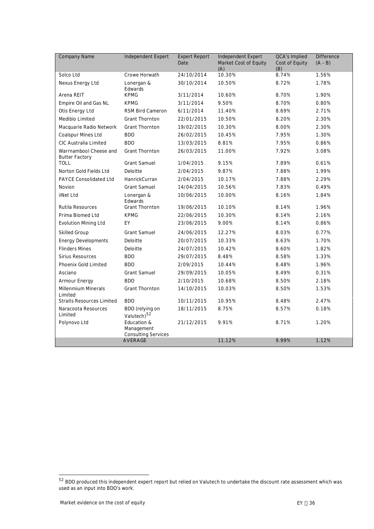| <b>Company Name</b>                             | Independent Expert                                      | <b>Expert Report</b><br>Independent Expert<br>Market Cost of Equity<br>Date<br>(A) |        | <b>QCA's Implied</b><br>Cost of Equity<br>(B) | <b>Difference</b><br>$(A - B)$ |  |
|-------------------------------------------------|---------------------------------------------------------|------------------------------------------------------------------------------------|--------|-----------------------------------------------|--------------------------------|--|
| Solco Ltd                                       | Crowe Horwath                                           | 8.74%<br>24/10/2014<br>10.30%                                                      |        | 1.56%                                         |                                |  |
| Nexus Energy Ltd                                | Lonergan &<br>Edwards                                   | 30/10/2014                                                                         | 10.50% | 8.72%                                         | 1.78%                          |  |
| Arena REIT                                      | <b>KPMG</b>                                             | 3/11/2014                                                                          | 10.60% | 8.70%                                         | 1.90%                          |  |
| Empire Oil and Gas NL                           | <b>KPMG</b>                                             | 3/11/2014                                                                          | 9.50%  | 8.70%                                         | 0.80%                          |  |
| Otis Energy Ltd                                 | RSM Bird Cameron                                        | 6/11/2014                                                                          | 11.40% | 8.69%                                         | 2.71%                          |  |
| Medibio Limited                                 | <b>Grant Thornton</b>                                   | 22/01/2015                                                                         | 10.50% | 8.20%                                         | 2.30%                          |  |
| Macquarie Radio Network                         | <b>Grant Thornton</b>                                   | 19/02/2015                                                                         | 10.30% | 8.00%                                         | 2.30%                          |  |
| Coalspur Mines Ltd                              | <b>BDO</b>                                              | 26/02/2015                                                                         | 10.45% | 7.95%                                         | 1.30%                          |  |
| CIC Australia Limited                           | <b>BDO</b>                                              | 13/03/2015                                                                         | 8.81%  | 7.95%                                         | 0.86%                          |  |
| Warrnambool Cheese and<br><b>Butter Factory</b> | <b>Grant Thornton</b>                                   | 26/03/2015                                                                         | 11.00% | 7.92%                                         | 3.08%                          |  |
| <b>TOLL</b>                                     | <b>Grant Samuel</b>                                     | 1/04/2015                                                                          | 9.15%  | 7.89%                                         | 0.61%                          |  |
| Norton Gold Fields Ltd                          | Deloitte                                                | 2/04/2015                                                                          | 9.87%  | 7.88%                                         | 1.99%                          |  |
| <b>PAYCE Consolidated Ltd</b>                   | HanrickCurran                                           | 2/04/2015                                                                          | 10.17% | 7.88%                                         | 2.29%                          |  |
| Novion                                          | <b>Grant Samuel</b>                                     | 14/04/2015                                                                         | 10.56% | 7.83%                                         | 0.49%                          |  |
| iiNet Ltd                                       | Lonergan &<br>Edwards                                   | 10/06/2015                                                                         | 10.00% | 8.16%                                         | 1.84%                          |  |
| Rutila Resources                                | <b>Grant Thornton</b>                                   | 19/06/2015                                                                         | 10.10% | 8.14%                                         | 1.96%                          |  |
| Prima Biomed Ltd                                | <b>KPMG</b>                                             | 22/06/2015                                                                         | 10.30% | 8.14%                                         | 2.16%                          |  |
| <b>Evolution Mining Ltd</b>                     | EY                                                      | 23/06/2015                                                                         | 9.00%  | 8.14%                                         | 0.86%                          |  |
| <b>Skilled Group</b>                            | <b>Grant Samuel</b>                                     | 24/06/2015                                                                         | 12.27% | 8.03%                                         | 0.77%                          |  |
| <b>Energy Developments</b>                      | Deloitte                                                | 20/07/2015                                                                         | 10.33% | 8.63%                                         | 1.70%                          |  |
| <b>Flinders Mines</b>                           | Deloitte                                                | 24/07/2015                                                                         | 10.42% | 8.60%                                         | 1.82%                          |  |
| <b>Sirius Resources</b>                         | <b>BDO</b>                                              | 29/07/2015                                                                         | 8.48%  | 8.58%                                         | 1.33%                          |  |
| Phoenix Gold Limited                            | <b>BDO</b>                                              | 2/09/2015                                                                          | 10.44% | 8.48%                                         | 1.96%                          |  |
| Asciano                                         | <b>Grant Samuel</b>                                     | 29/09/2015                                                                         | 10.05% | 8.49%                                         | 0.31%                          |  |
| Armour Energy                                   | <b>BDO</b>                                              | 2/10/2015                                                                          | 10.68% | 8.50%                                         | 2.18%                          |  |
| <b>Millenmium Minerals</b><br>Limited           | <b>Grant Thornton</b>                                   | 14/10/2015                                                                         | 10.03% | 8.50%                                         | 1.53%                          |  |
| <b>Straits Resources Limited</b>                | <b>BDO</b>                                              | 10/11/2015                                                                         | 10.95% | 8.48%                                         | 2.47%                          |  |
| Naracoota Resources<br>Limited                  | BDO (relying on<br>Valutech) <sup>52</sup>              | 18/11/2015                                                                         | 8.75%  | 8.57%                                         | 0.18%                          |  |
| Polynovo Ltd                                    | Education &<br>Management<br><b>Consulting Services</b> | 21/12/2015                                                                         | 9.91%  | 8.71%                                         | 1.20%                          |  |
|                                                 | <b>AVERAGE</b>                                          |                                                                                    | 11.12% | 9.99%                                         | 1.12%                          |  |

<span id="page-38-0"></span> $52$  BDO produced this independent expert report but relied on Valutech to undertake the discount rate assessment which was used as an input into BDO's work.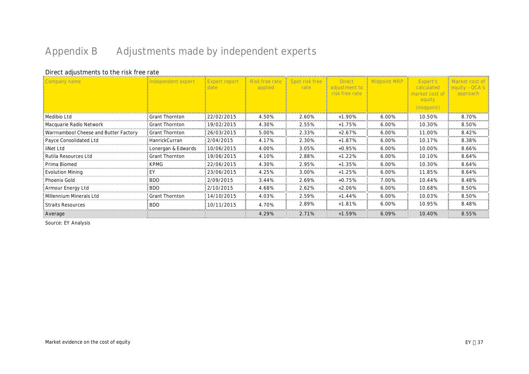# <span id="page-39-0"></span>**Appendix B Adjustments made by independent experts**

#### **Direct adjustments to the risk free rate**

| Company name                          | Independent expert    | <b>Expert report</b> | Risk free rate<br>applied | Spot risk free<br>rate | <b>Direct</b><br>adjustment to<br>risk free rate |       | Expert's<br>calculated<br>narket cost of<br>equity<br>(midpoint) | equity - OCA's<br>approach |
|---------------------------------------|-----------------------|----------------------|---------------------------|------------------------|--------------------------------------------------|-------|------------------------------------------------------------------|----------------------------|
| Medibio Ltd                           | <b>Grant Thornton</b> | 22/02/2015           | 4.50%                     | 2.60%                  | $+1.90%$                                         | 6.00% | 10.50%                                                           | 8.70%                      |
| Macquarie Radio Network               | <b>Grant Thornton</b> | 19/02/2015           | 4.30%                     | 2.55%                  | $+1.75%$                                         | 6.00% | 10.30%                                                           | 8.50%                      |
| Warrnambool Cheese and Butter Factory | <b>Grant Thornton</b> | 26/03/2015           | 5.00%                     | 2.33%                  | $+2.67%$                                         | 6.00% | 11.00%                                                           | 8.42%                      |
| Payce Consolidated Ltd                | HanrickCurran         | 2/04/2015            | 4.17%                     | 2.30%                  | $+1.87%$                                         | 6.00% | 10.17%                                                           | 8.38%                      |
| iiNet Ltd                             | Lonergan & Edwards    | 10/06/2015           | 4.00%                     | 3.05%                  | $+0.95%$                                         | 6.00% | 10.00%                                                           | 8.66%                      |
| Rutila Resources Ltd                  | <b>Grant Thornton</b> | 19/06/2015           | 4.10%                     | 2.88%                  | $+1.22%$                                         | 6.00% | 10.10%                                                           | 8.64%                      |
| Prima Biomed                          | <b>KPMG</b>           | 22/06/2015           | 4.30%                     | 2.95%                  | $+1.35%$                                         | 6.00% | 10.30%                                                           | 8.64%                      |
| <b>Evolution Mining</b>               | EY                    | 23/06/2015           | 4.25%                     | 3.00%                  | $+1.25%$                                         | 6.00% | 11.85%                                                           | 8.64%                      |
| Phoenix Gold                          | <b>BDO</b>            | 2/09/2015            | 3.44%                     | 2.69%                  | $+0.75%$                                         | 7.00% | 10.44%                                                           | 8.48%                      |
| Armour Energy Ltd                     | <b>BDO</b>            | 2/10/2015            | 4.68%                     | 2.62%                  | $+2.06%$                                         | 6.00% | 10.68%                                                           | 8.50%                      |
| Millennium Minerals Ltd               | <b>Grant Thornton</b> | 14/10/2015           | 4.03%                     | 2.59%                  | $+1.44%$                                         | 6.00% | 10.03%                                                           | 8.50%                      |
| <b>Straits Resources</b>              | <b>BDO</b>            | 10/11/2015           | 4.70%                     | 2.89%                  | $+1.81%$                                         | 6.00% | 10.95%                                                           | 8.48%                      |
| Average                               |                       |                      | 4.29%                     | 2.71%                  | $+1.59%$                                         | 6.09% | 10.40%                                                           | 8.55%                      |

Source: EY Analysis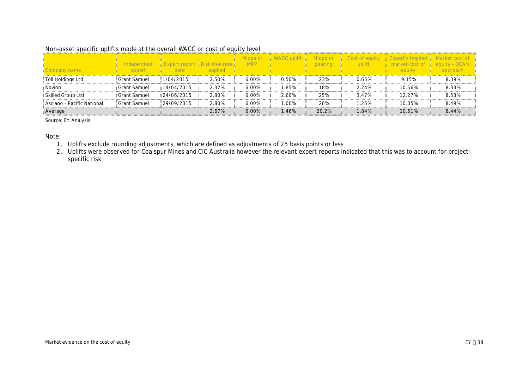#### **Non-asset specific uplifts made at the overall WACC or cost of equity level**

| Company name               | Independent<br>expert | date                     | applied | <b>MRP</b> |       | gearing | Cost of equit<br>uplift | market cost of<br>equity | equity - QCA's<br>approach |
|----------------------------|-----------------------|--------------------------|---------|------------|-------|---------|-------------------------|--------------------------|----------------------------|
| Toll Holdings Ltd          | : Grant Samuel        | 1/04/2015                | 2.50%   | 6.00%      | 0.50% | 23%     | 0.65%                   | 9.15%                    | 8.39%                      |
| Novion                     | Grant Samuel          | $\frac{114}{04/2015}$    | 2.32%   | 6.00%      | .85%  | 18%     | 2.24%                   | 10.56%                   | 8.33%                      |
| Skilled Group Ltd          | : Grant Samuel        | $\frac{1}{2}$ 24/06/2015 | 2.80%   | 6.00%      | 2.60% | 25%     | 3.47%                   | 12.27%                   | 8.53%                      |
| Asciano - Pacific National | Grant Samuel          | 129/09/2015              | 2.80%   | 6.00%      | 1.00% | 20%     | 1.25%                   | 10.05%                   | 8.49%                      |
| Average                    |                       |                          | 2.67%   | 6.00%      | .46%  | 20.2%   | 1.84%                   | 10.51%                   | 8.44%                      |

Source: EY Analysis

Note:

1. Uplifts exclude rounding adjustments, which are defined as adjustments of 25 basis points or less

2. Uplifts were observed for Coalspur Mines and CIC Australia however the relevant expert reports indicated that this was to account for projectspecific risk